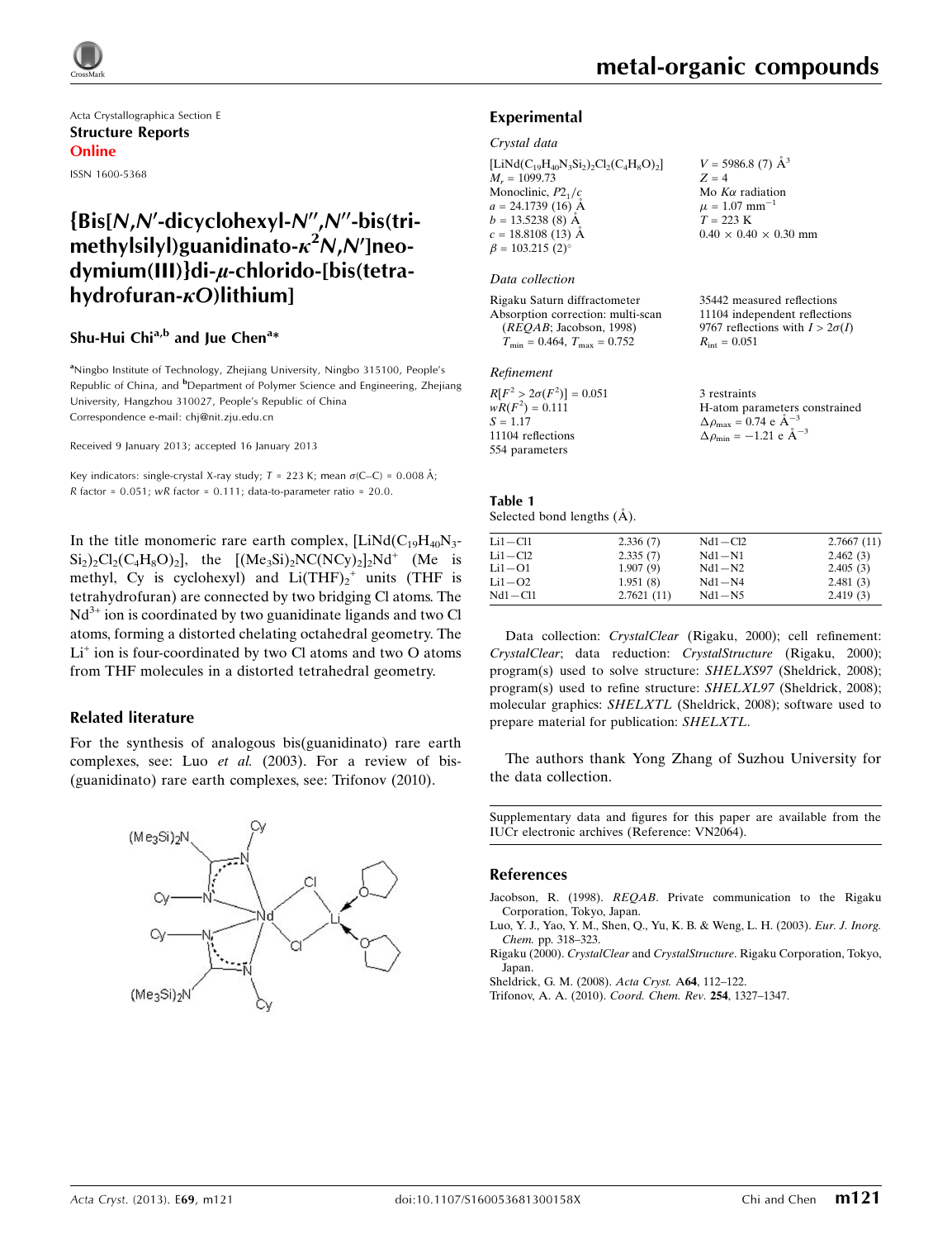

Acta Crystallographica Section E Structure Reports Online ISSN 1600-5368

## $\{Bis[N,N'-dicyclohexV-N'',N''-bis(tri$ methylsilyl)guanidinato- $\kappa^2$ N,N']neodymium(III)}di-µ-chlorido-[bis(tetrahydrofuran- $\kappa$ O)lithium]

### Shu-Hui Chi<sup>a,b</sup> and Jue Chen<sup>a</sup>\*

<sup>a</sup>Ningbo Institute of Technology, Zhejiang University, Ningbo 315100, People's Republic of China, and <sup>b</sup>Department of Polymer Science and Engineering, Zhejiang University, Hangzhou 310027, People's Republic of China Correspondence e-mail: [chj@nit.zju.edu.cn](https://scripts.iucr.org/cgi-bin/cr.cgi?rm=pdfbb&cnor=vn2064&bbid=BB5)

Received 9 January 2013; accepted 16 January 2013

Key indicators: single-crystal X-ray study;  $T = 223$  K; mean  $\sigma$ (C–C) = 0.008 Å; R factor =  $0.051$ ; wR factor =  $0.111$ ; data-to-parameter ratio =  $20.0$ .

In the title monomeric rare earth complex,  $[LiNd(C_{19}H_{40}N_{3}$ - $\text{Si}_2$ )<sub>2</sub>Cl<sub>2</sub>(C<sub>4</sub>H<sub>8</sub>O)<sub>2</sub>], the [(Me<sub>3</sub>Si)<sub>2</sub>NC(NCy)<sub>2</sub>]<sub>2</sub>Nd<sup>+</sup> (Me is methyl, Cy is cyclohexyl) and  $Li(THF)<sub>2</sub><sup>+</sup>$  units (THF is tetrahydrofuran) are connected by two bridging Cl atoms. The  $Nd^{3+}$  ion is coordinated by two guanidinate ligands and two Cl atoms, forming a distorted chelating octahedral geometry. The  $Li<sup>+</sup>$  ion is four-coordinated by two Cl atoms and two O atoms from THF molecules in a distorted tetrahedral geometry.

#### Related literature

For the synthesis of analogous bis(guanidinato) rare earth complexes, see: Luo et al. (2003). For a review of bis- (guanidinato) rare earth complexes, see: Trifonov (2010).



35442 measured reflections 11104 independent reflections 9767 reflections with  $I > 2\sigma(I)$ 

 $R_{\text{int}} = 0.051$ 

#### Experimental

Crystal data

 $[LiNd(C_{19}H_{40}N_3Si_2)_2Cl_2(C_4H_8O)_2]$  $M_r = 1099.73$ Monoclinic,  $P2<sub>1</sub>/c$  $a = 24.1739(16)$  Å  $b = 13.5238(8)$  Å  $c = 18.8108(13)$  Å  $\beta = 103.215$  (2)<sup>o</sup>  $V = 5986.8$  (7)  $\AA^3$  $Z = 4$ Mo  $K\alpha$  radiation  $\mu = 1.07$  mm<sup>-1</sup>  $T = 223 \text{ K}$  $0.40 \times 0.40 \times 0.30$  mm

#### Data collection

Rigaku Saturn diffractometer Absorption correction: multi-scan (REQAB; Jacobson, 1998)  $T_{\text{min}} = 0.464, T_{\text{max}} = 0.752$ 

#### Refinement

| $R[F^2 > 2\sigma(F^2)] = 0.051$ | 3 restraints                                       |
|---------------------------------|----------------------------------------------------|
| $wR(F^2) = 0.111$               | H-atom parameters constrained                      |
| $S = 1.17$                      | $\Delta \rho_{\text{max}} = 0.74 \text{ e A}^{-3}$ |
| 11104 reflections               | $\Delta \rho_{\text{min}} = -1.21$ e $\AA^{-3}$    |
| 554 parameters                  |                                                    |

#### Table 1 Selected bond lengths  $(\AA)$ .

| $Li1 - Cl1$ | 2.336(7)   | $Nd1 - Cl2$ | 2.7667(11) |
|-------------|------------|-------------|------------|
| $Li1 - Cl2$ | 2.335(7)   | $Nd1-N1$    | 2.462(3)   |
| $Li1-O1$    | 1.907(9)   | $Nd1-N2$    | 2.405(3)   |
| $Li1-O2$    | 1.951(8)   | $Nd1-N4$    | 2.481(3)   |
| $Nd1 - Cl1$ | 2.7621(11) | $Nd1-N5$    | 2.419(3)   |
|             |            |             |            |

Data collection: CrystalClear (Rigaku, 2000); cell refinement: CrystalClear; data reduction: CrystalStructure (Rigaku, 2000); program(s) used to solve structure: SHELXS97 (Sheldrick, 2008); program(s) used to refine structure: SHELXL97 (Sheldrick, 2008); molecular graphics: SHELXTL (Sheldrick, 2008); software used to prepare material for publication: SHELXTL.

The authors thank Yong Zhang of Suzhou University for the data collection.

Supplementary data and figures for this paper are available from the IUCr electronic archives (Reference: VN2064).

#### References

- Jacobson, R. (1998). REQAB[. Private communication to the Rigaku](https://scripts.iucr.org/cgi-bin/cr.cgi?rm=pdfbb&cnor=vn2064&bbid=BB1) [Corporation, Tokyo, Japan.](https://scripts.iucr.org/cgi-bin/cr.cgi?rm=pdfbb&cnor=vn2064&bbid=BB1)
- [Luo, Y. J., Yao, Y. M., Shen, Q., Yu, K. B. & Weng, L. H. \(2003\).](https://scripts.iucr.org/cgi-bin/cr.cgi?rm=pdfbb&cnor=vn2064&bbid=BB2) Eur. J. Inorg. Chem. [pp. 318–323.](https://scripts.iucr.org/cgi-bin/cr.cgi?rm=pdfbb&cnor=vn2064&bbid=BB2)
- Rigaku (2000). CrystalClear and CrystalStructure[. Rigaku Corporation, Tokyo,](https://scripts.iucr.org/cgi-bin/cr.cgi?rm=pdfbb&cnor=vn2064&bbid=BB3) [Japan.](https://scripts.iucr.org/cgi-bin/cr.cgi?rm=pdfbb&cnor=vn2064&bbid=BB3)
- [Sheldrick, G. M. \(2008\).](https://scripts.iucr.org/cgi-bin/cr.cgi?rm=pdfbb&cnor=vn2064&bbid=BB4) Acta Cryst. A64, 112–122.
- [Trifonov, A. A. \(2010\).](https://scripts.iucr.org/cgi-bin/cr.cgi?rm=pdfbb&cnor=vn2064&bbid=BB5) Coord. Chem. Rev. 254, 1327–1347.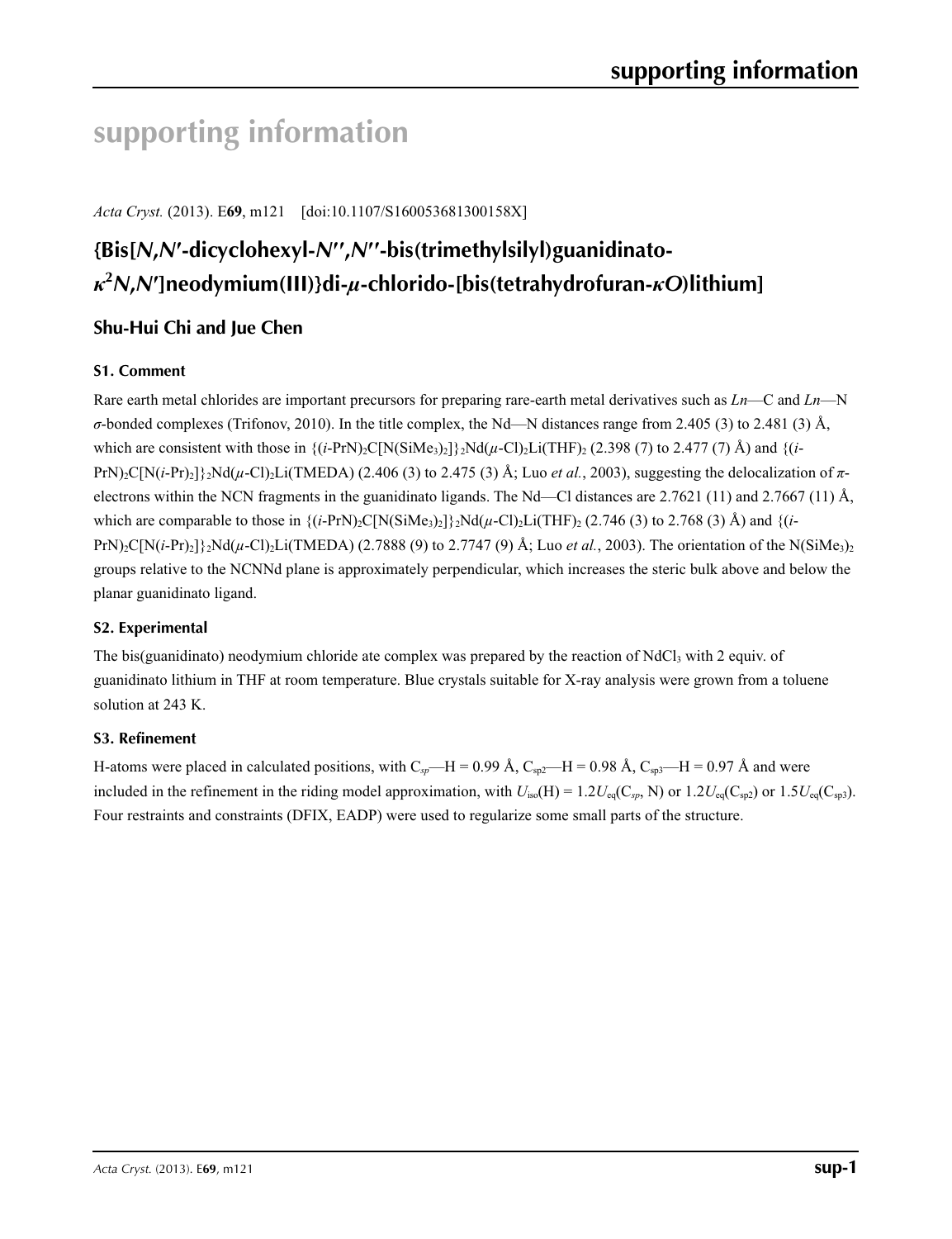# **supporting information**

*Acta Cryst.* (2013). E**69**, m121 [doi:10.1107/S160053681300158X]

## **{Bis[***N***,***N***′-dicyclohexyl-***N***′′ ,***N***′′-bis(trimethylsilyl)guanidinato***κ***2** *N***,***N***′]neodymium(III)}di-***µ***-chlorido-[bis(tetrahydrofuran-***κO***)lithium]**

## **Shu-Hui Chi and Jue Chen**

## **S1. Comment**

Rare earth metal chlorides are important precursors for preparing rare-earth metal derivatives such as *Ln*—C and *Ln*—N *σ*-bonded complexes (Trifonov, 2010). In the title complex, the Nd—N distances range from 2.405 (3) to 2.481 (3) Å, which are consistent with those in  $\{(i-PrN)_2C[N(SiMe_3)_2]\}$ <sub>2</sub>Nd( $\mu$ -Cl)<sub>2</sub>Li(THF)<sub>2</sub> (2.398 (7) to 2.477 (7) Å) and  $\{(i-PrN)_2C[N(SiMe_3)_2]\}$ PrN)2C[N(*i*-Pr)2]}2Nd(*µ*-Cl)2Li(TMEDA) (2.406 (3) to 2.475 (3) Å; Luo *et al.*, 2003), suggesting the delocalization of *π*electrons within the NCN fragments in the guanidinato ligands. The Nd—Cl distances are 2.7621 (11) and 2.7667 (11) Å, which are comparable to those in  $\{(i-PrN)_2C[N(SiMe_3)_2]\}$ .  $Nd(\mu$ -Cl)<sub>2</sub>Li(THF)<sub>2</sub> (2.746 (3) to 2.768 (3) Å) and  $\{(i-PrN)_2C[N(SiMe_3)_2]\}$ . PrN)<sub>2</sub>C[N(*i*-Pr)<sub>2</sub>] $\{2Nd(\mu$ -Cl)<sub>2</sub>Li(TMEDA) (2.7888 (9) to 2.7747 (9) Å; Luo *et al.*, 2003). The orientation of the N(SiMe<sub>3)2</sub> groups relative to the NCNNd plane is approximately perpendicular, which increases the steric bulk above and below the planar guanidinato ligand.

### **S2. Experimental**

The bis(guanidinato) neodymium chloride ate complex was prepared by the reaction of  $NdCl<sub>3</sub>$  with 2 equiv. of guanidinato lithium in THF at room temperature. Blue crystals suitable for X-ray analysis were grown from a toluene solution at 243 K.

## **S3. Refinement**

H-atoms were placed in calculated positions, with  $C_{sp}$ —H = 0.99 Å,  $C_{sp2}$ —H = 0.98 Å,  $C_{sp3}$ —H = 0.97 Å and were included in the refinement in the riding model approximation, with  $U_{iso}(H) = 1.2U_{eq}(C_{sp}, N)$  or  $1.2U_{eq}(C_{sp2})$  or  $1.5U_{eq}(C_{sp3})$ . Four restraints and constraints (DFIX, EADP) were used to regularize some small parts of the structure.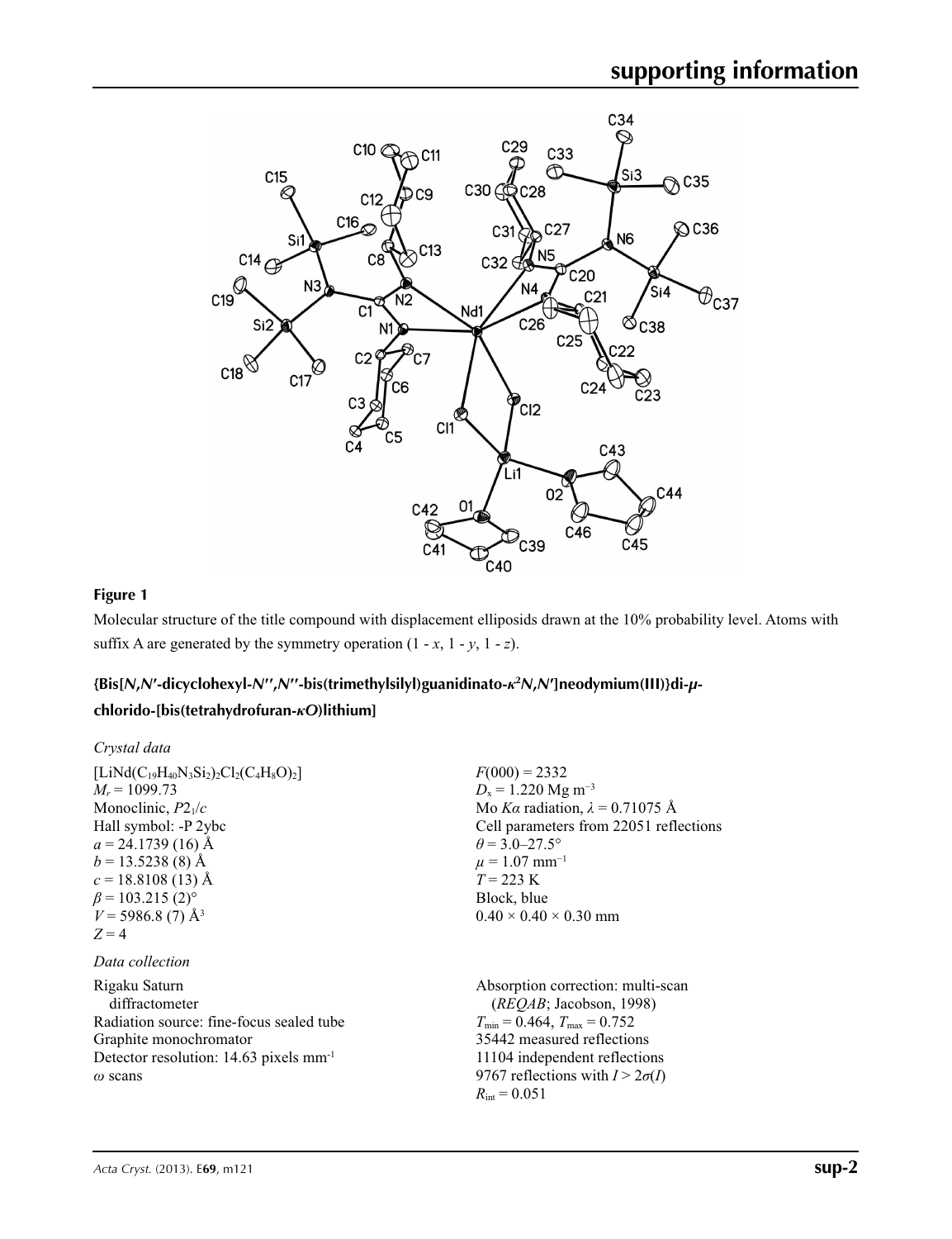

### **Figure 1**

Molecular structure of the title compound with displacement elliposids drawn at the 10% probability level. Atoms with suffix A are generated by the symmetry operation  $(1 - x, 1 - y, 1 - z)$ .

## {Bis[N,N'-dicyclohexyl-N",N"-bis(trimethylsilyl)guanidinato- $\kappa^2 N$ ,N']neodymium(III)}di-µ-

## **chlorido-[bis(tetrahydrofuran-***κO***)lithium]**

| Crystal data                                                                                                                                                                                                                                                             |                                                                                                                                                                                                                                                                             |
|--------------------------------------------------------------------------------------------------------------------------------------------------------------------------------------------------------------------------------------------------------------------------|-----------------------------------------------------------------------------------------------------------------------------------------------------------------------------------------------------------------------------------------------------------------------------|
| $[LiNd(C_{19}H_{40}N_3Si_2)_2Cl_2(C_4H_8O)_2]$<br>$M_r = 1099.73$<br>Monoclinic, $P2_1/c$<br>Hall symbol: -P 2ybc<br>$a = 24.1739(16)$ Å<br>$b = 13.5238(8)$ Å<br>$c = 18.8108(13)$ Å<br>$\beta$ = 103.215 (2) <sup>o</sup><br>$V = 5986.8(7)$ Å <sup>3</sup><br>$Z = 4$ | $F(000) = 2332$<br>$D_x = 1.220$ Mg m <sup>-3</sup><br>Mo Ka radiation, $\lambda = 0.71075$ Å<br>Cell parameters from 22051 reflections<br>$\theta$ = 3.0–27.5°<br>$\mu = 1.07$ mm <sup>-1</sup><br>$T = 223 \text{ K}$<br>Block, blue<br>$0.40 \times 0.40 \times 0.30$ mm |
| Data collection                                                                                                                                                                                                                                                          |                                                                                                                                                                                                                                                                             |
| Rigaku Saturn<br>diffractometer<br>Radiation source: fine-focus sealed tube<br>Graphite monochromator<br>Detector resolution: $14.63$ pixels mm <sup>-1</sup><br>$\omega$ scans                                                                                          | Absorption correction: multi-scan<br>(REOAB; Jacobson, 1998)<br>$T_{\min} = 0.464$ , $T_{\max} = 0.752$<br>35442 measured reflections<br>11104 independent reflections<br>9767 reflections with $I > 2\sigma(I)$<br>$R_{\text{int}} = 0.051$                                |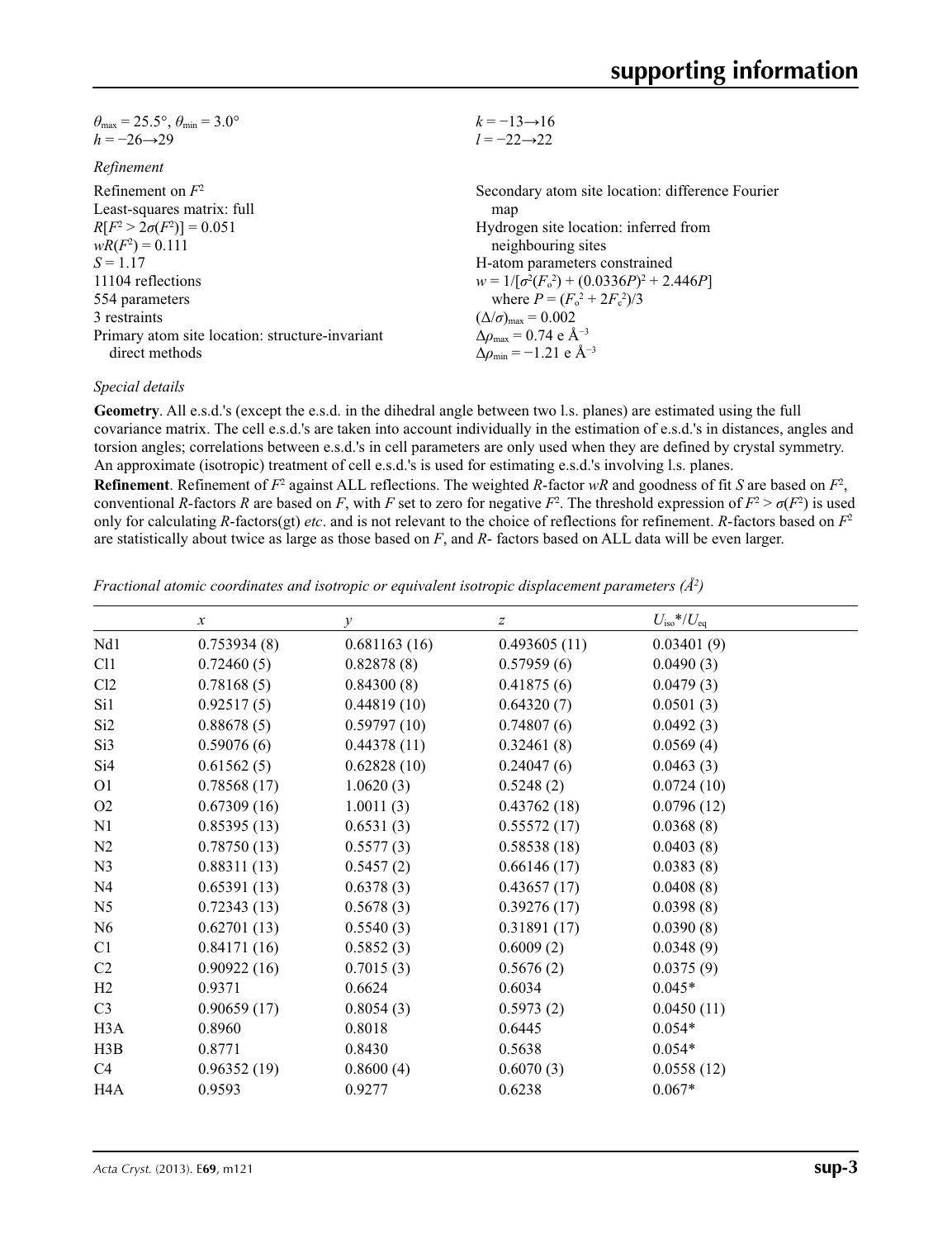| $\theta_{\text{max}} = 25.5^{\circ}, \theta_{\text{min}} = 3.0^{\circ}$ | $k = -13 \rightarrow 16$                                     |
|-------------------------------------------------------------------------|--------------------------------------------------------------|
| $h = -26 \rightarrow 29$                                                | $l = -22 \rightarrow 22$                                     |
| Refinement                                                              |                                                              |
| Refinement on $F^2$                                                     | Secondary atom site location: difference Fourier             |
| Least-squares matrix: full                                              | map                                                          |
| $R[F^2 > 2\sigma(F^2)] = 0.051$                                         | Hydrogen site location: inferred from                        |
| $wR(F^2) = 0.111$                                                       | neighbouring sites                                           |
| $S = 1.17$                                                              | H-atom parameters constrained                                |
| 11104 reflections                                                       | $w = 1/[\sigma^2(F_0^2) + (0.0336P)^2 + 2.446P]$             |
| 554 parameters                                                          | where $P = (F_o^2 + 2F_c^2)/3$                               |
| 3 restraints                                                            | $(\Delta/\sigma)_{\text{max}} = 0.002$                       |
| Primary atom site location: structure-invariant                         | $\Delta \rho_{\text{max}} = 0.74 \text{ e } \text{\AA}^{-3}$ |
| direct methods                                                          | $\Delta \rho_{\rm min} = -1.21$ e Å <sup>-3</sup>            |

#### *Special details*

**Geometry**. All e.s.d.'s (except the e.s.d. in the dihedral angle between two l.s. planes) are estimated using the full covariance matrix. The cell e.s.d.'s are taken into account individually in the estimation of e.s.d.'s in distances, angles and torsion angles; correlations between e.s.d.'s in cell parameters are only used when they are defined by crystal symmetry. An approximate (isotropic) treatment of cell e.s.d.'s is used for estimating e.s.d.'s involving l.s. planes.

**Refinement**. Refinement of  $F^2$  against ALL reflections. The weighted *R*-factor  $wR$  and goodness of fit *S* are based on  $F^2$ , conventional *R*-factors *R* are based on *F*, with *F* set to zero for negative  $F^2$ . The threshold expression of  $F^2 > \sigma(F^2)$  is used only for calculating *R*-factors(gt) *etc*. and is not relevant to the choice of reflections for refinement. *R*-factors based on *F*<sup>2</sup> are statistically about twice as large as those based on *F*, and *R*- factors based on ALL data will be even larger.

*Fractional atomic coordinates and isotropic or equivalent isotropic displacement parameters (Å2 )*

|                  | $\boldsymbol{x}$ | $\mathcal V$ | $\boldsymbol{z}$ | $U_{\rm iso}*/U_{\rm eq}$ |  |
|------------------|------------------|--------------|------------------|---------------------------|--|
| Nd1              | 0.753934(8)      | 0.681163(16) | 0.493605(11)     | 0.03401(9)                |  |
| C <sub>11</sub>  | 0.72460(5)       | 0.82878(8)   | 0.57959(6)       | 0.0490(3)                 |  |
| Cl2              | 0.78168(5)       | 0.84300(8)   | 0.41875(6)       | 0.0479(3)                 |  |
| Si1              | 0.92517(5)       | 0.44819(10)  | 0.64320(7)       | 0.0501(3)                 |  |
| Si <sub>2</sub>  | 0.88678(5)       | 0.59797(10)  | 0.74807(6)       | 0.0492(3)                 |  |
| Si3              | 0.59076(6)       | 0.44378(11)  | 0.32461(8)       | 0.0569(4)                 |  |
| Si <sub>4</sub>  | 0.61562(5)       | 0.62828(10)  | 0.24047(6)       | 0.0463(3)                 |  |
| O <sub>1</sub>   | 0.78568(17)      | 1.0620(3)    | 0.5248(2)        | 0.0724(10)                |  |
| O <sub>2</sub>   | 0.67309(16)      | 1.0011(3)    | 0.43762(18)      | 0.0796(12)                |  |
| N1               | 0.85395(13)      | 0.6531(3)    | 0.55572(17)      | 0.0368(8)                 |  |
| N2               | 0.78750(13)      | 0.5577(3)    | 0.58538(18)      | 0.0403(8)                 |  |
| N <sub>3</sub>   | 0.88311(13)      | 0.5457(2)    | 0.66146(17)      | 0.0383(8)                 |  |
| N <sub>4</sub>   | 0.65391(13)      | 0.6378(3)    | 0.43657(17)      | 0.0408(8)                 |  |
| N <sub>5</sub>   | 0.72343(13)      | 0.5678(3)    | 0.39276(17)      | 0.0398(8)                 |  |
| N <sub>6</sub>   | 0.62701(13)      | 0.5540(3)    | 0.31891(17)      | 0.0390(8)                 |  |
| C1               | 0.84171(16)      | 0.5852(3)    | 0.6009(2)        | 0.0348(9)                 |  |
| C <sub>2</sub>   | 0.90922(16)      | 0.7015(3)    | 0.5676(2)        | 0.0375(9)                 |  |
| H2               | 0.9371           | 0.6624       | 0.6034           | $0.045*$                  |  |
| C <sub>3</sub>   | 0.90659(17)      | 0.8054(3)    | 0.5973(2)        | 0.0450(11)                |  |
| H <sub>3</sub> A | 0.8960           | 0.8018       | 0.6445           | $0.054*$                  |  |
| H3B              | 0.8771           | 0.8430       | 0.5638           | $0.054*$                  |  |
| C4               | 0.96352(19)      | 0.8600(4)    | 0.6070(3)        | 0.0558(12)                |  |
| H4A              | 0.9593           | 0.9277       | 0.6238           | $0.067*$                  |  |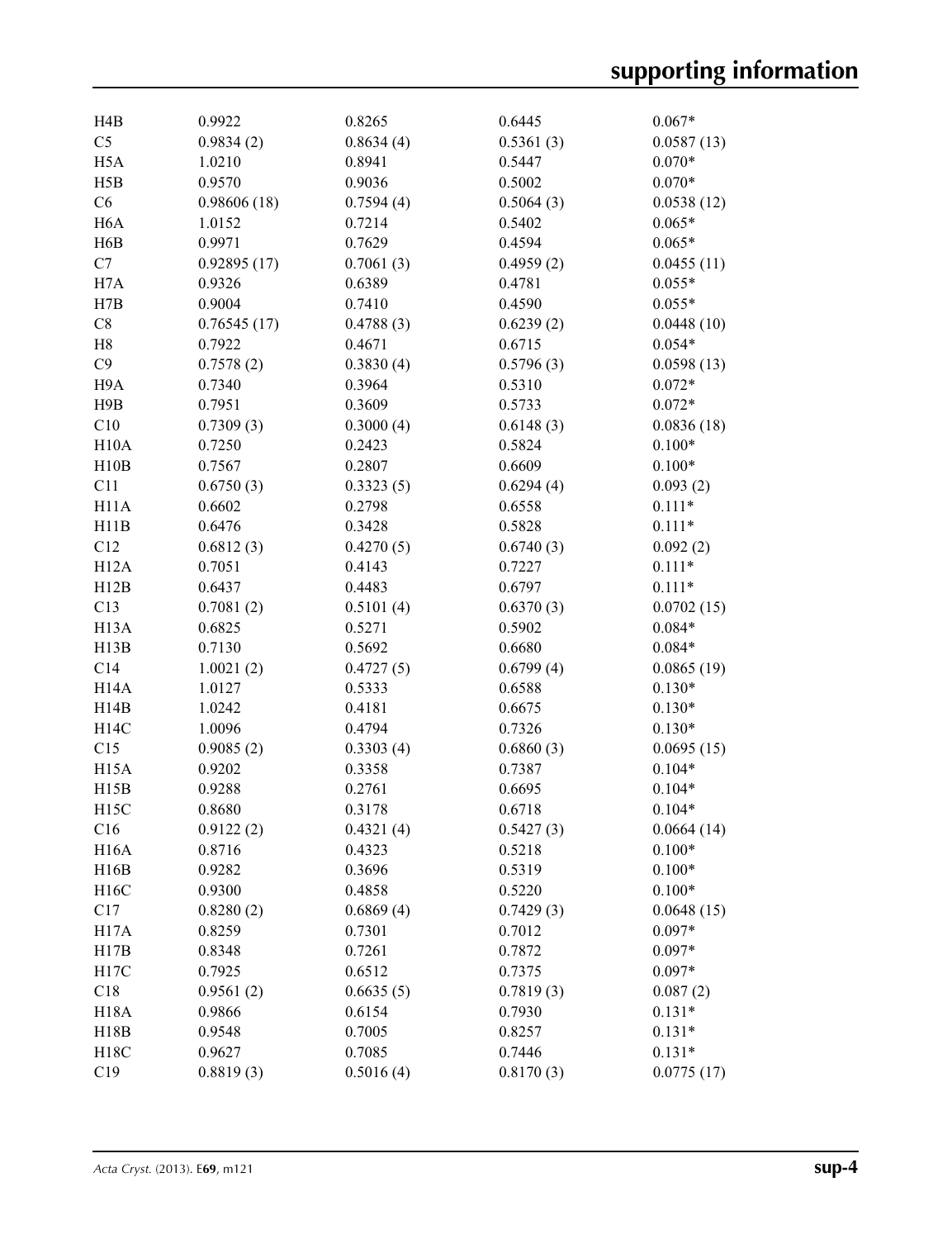| H <sub>4</sub> B  | 0.9922      | 0.8265    | 0.6445    | $0.067*$   |
|-------------------|-------------|-----------|-----------|------------|
| C <sub>5</sub>    | 0.9834(2)   | 0.8634(4) | 0.5361(3) | 0.0587(13) |
| H <sub>5</sub> A  | 1.0210      | 0.8941    | 0.5447    | $0.070*$   |
| H5B               | 0.9570      | 0.9036    | 0.5002    | $0.070*$   |
| C6                | 0.98606(18) | 0.7594(4) | 0.5064(3) | 0.0538(12) |
| H <sub>6</sub> A  | 1.0152      | 0.7214    | 0.5402    | $0.065*$   |
| H6B               | 0.9971      | 0.7629    | 0.4594    | $0.065*$   |
| C7                | 0.92895(17) | 0.7061(3) | 0.4959(2) | 0.0455(11) |
| H7A               | 0.9326      | 0.6389    | 0.4781    | $0.055*$   |
| H7B               | 0.9004      | 0.7410    | 0.4590    | $0.055*$   |
| C8                | 0.76545(17) | 0.4788(3) | 0.6239(2) | 0.0448(10) |
| H8                | 0.7922      | 0.4671    | 0.6715    | $0.054*$   |
| C9                | 0.7578(2)   | 0.3830(4) | 0.5796(3) | 0.0598(13) |
| H9A               | 0.7340      | 0.3964    | 0.5310    | $0.072*$   |
| H9B               | 0.7951      | 0.3609    | 0.5733    | $0.072*$   |
| C10               | 0.7309(3)   | 0.3000(4) | 0.6148(3) | 0.0836(18) |
| H10A              | 0.7250      | 0.2423    | 0.5824    | $0.100*$   |
| H10B              | 0.7567      | 0.2807    | 0.6609    | $0.100*$   |
| C11               | 0.6750(3)   | 0.3323(5) | 0.6294(4) | 0.093(2)   |
|                   | 0.6602      |           |           |            |
| H <sub>11</sub> A | 0.6476      | 0.2798    | 0.6558    | $0.111*$   |
| H11B              |             | 0.3428    | 0.5828    | $0.111*$   |
| C12               | 0.6812(3)   | 0.4270(5) | 0.6740(3) | 0.092(2)   |
| H <sub>12</sub> A | 0.7051      | 0.4143    | 0.7227    | $0.111*$   |
| H12B              | 0.6437      | 0.4483    | 0.6797    | $0.111*$   |
| C13               | 0.7081(2)   | 0.5101(4) | 0.6370(3) | 0.0702(15) |
| H <sub>13</sub> A | 0.6825      | 0.5271    | 0.5902    | $0.084*$   |
| H13B              | 0.7130      | 0.5692    | 0.6680    | $0.084*$   |
| C14               | 1.0021(2)   | 0.4727(5) | 0.6799(4) | 0.0865(19) |
| H <sub>14</sub> A | 1.0127      | 0.5333    | 0.6588    | $0.130*$   |
| H14B              | 1.0242      | 0.4181    | 0.6675    | $0.130*$   |
| H14C              | 1.0096      | 0.4794    | 0.7326    | $0.130*$   |
| C15               | 0.9085(2)   | 0.3303(4) | 0.6860(3) | 0.0695(15) |
| H <sub>15</sub> A | 0.9202      | 0.3358    | 0.7387    | $0.104*$   |
| H15B              | 0.9288      | 0.2761    | 0.6695    | $0.104*$   |
| H <sub>15</sub> C | 0.8680      | 0.3178    | 0.6718    | $0.104*$   |
| C16               | 0.9122(2)   | 0.4321(4) | 0.5427(3) | 0.0664(14) |
| H <sub>16</sub> A | 0.8716      | 0.4323    | 0.5218    | $0.100*$   |
| H16B              | 0.9282      | 0.3696    | 0.5319    | $0.100*$   |
| H16C              | 0.9300      | 0.4858    | 0.5220    | $0.100*$   |
| C17               | 0.8280(2)   | 0.6869(4) | 0.7429(3) | 0.0648(15) |
| H17A              | 0.8259      | 0.7301    | 0.7012    | $0.097*$   |
| H17B              | 0.8348      | 0.7261    | 0.7872    | $0.097*$   |
| H17C              | 0.7925      | 0.6512    | 0.7375    | $0.097*$   |
| C18               | 0.9561(2)   | 0.6635(5) | 0.7819(3) | 0.087(2)   |
| <b>H18A</b>       | 0.9866      | 0.6154    | 0.7930    | $0.131*$   |
| H18B              | 0.9548      | 0.7005    | 0.8257    | $0.131*$   |
|                   |             |           |           |            |
| H18C              | 0.9627      | 0.7085    | 0.7446    | $0.131*$   |
| C19               | 0.8819(3)   | 0.5016(4) | 0.8170(3) | 0.0775(17) |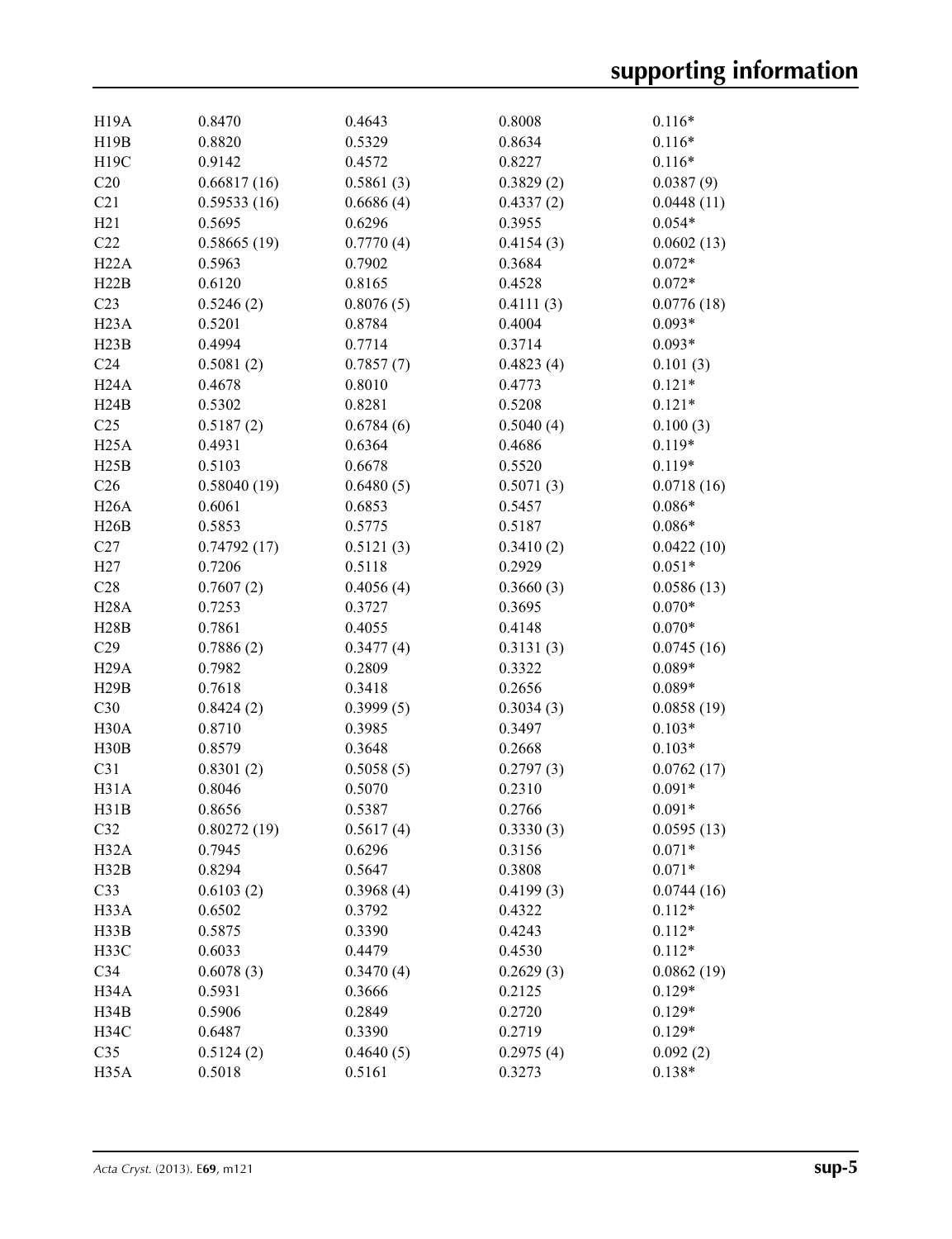| H <sub>19</sub> A | 0.8470      | 0.4643    | 0.8008    | $0.116*$   |
|-------------------|-------------|-----------|-----------|------------|
| H19B              | 0.8820      | 0.5329    | 0.8634    | $0.116*$   |
| H19C              | 0.9142      | 0.4572    | 0.8227    | $0.116*$   |
| C20               | 0.66817(16) | 0.5861(3) | 0.3829(2) | 0.0387(9)  |
| C21               | 0.59533(16) | 0.6686(4) | 0.4337(2) | 0.0448(11) |
| H21               | 0.5695      | 0.6296    | 0.3955    | $0.054*$   |
| C22               | 0.58665(19) | 0.7770(4) | 0.4154(3) | 0.0602(13) |
| H22A              | 0.5963      | 0.7902    | 0.3684    | $0.072*$   |
| H22B              | 0.6120      | 0.8165    | 0.4528    | $0.072*$   |
| C <sub>23</sub>   | 0.5246(2)   | 0.8076(5) | 0.4111(3) | 0.0776(18) |
| H <sub>23</sub> A | 0.5201      | 0.8784    | 0.4004    | $0.093*$   |
| H23B              | 0.4994      | 0.7714    | 0.3714    | $0.093*$   |
| C <sub>24</sub>   | 0.5081(2)   | 0.7857(7) | 0.4823(4) | 0.101(3)   |
| H24A              | 0.4678      | 0.8010    | 0.4773    | $0.121*$   |
| H24B              | 0.5302      | 0.8281    | 0.5208    | $0.121*$   |
| C <sub>25</sub>   | 0.5187(2)   | 0.6784(6) | 0.5040(4) | 0.100(3)   |
| H25A              | 0.4931      | 0.6364    | 0.4686    | $0.119*$   |
| H25B              | 0.5103      | 0.6678    | 0.5520    | $0.119*$   |
| C <sub>26</sub>   | 0.58040(19) | 0.6480(5) | 0.5071(3) | 0.0718(16) |
| H26A              | 0.6061      | 0.6853    | 0.5457    | $0.086*$   |
| H26B              | 0.5853      | 0.5775    | 0.5187    | $0.086*$   |
| C27               | 0.74792(17) | 0.5121(3) | 0.3410(2) | 0.0422(10) |
| H27               | 0.7206      | 0.5118    | 0.2929    | $0.051*$   |
| C28               | 0.7607(2)   | 0.4056(4) | 0.3660(3) | 0.0586(13) |
| <b>H28A</b>       | 0.7253      | 0.3727    | 0.3695    | $0.070*$   |
| H28B              | 0.7861      | 0.4055    | 0.4148    | $0.070*$   |
| C29               | 0.7886(2)   | 0.3477(4) | 0.3131(3) | 0.0745(16) |
| H <sub>29</sub> A | 0.7982      | 0.2809    | 0.3322    | $0.089*$   |
| H29B              | 0.7618      | 0.3418    | 0.2656    | $0.089*$   |
| C30               | 0.8424(2)   | 0.3999(5) | 0.3034(3) | 0.0858(19) |
| H <sub>30</sub> A | 0.8710      | 0.3985    | 0.3497    | $0.103*$   |
| H30B              | 0.8579      | 0.3648    | 0.2668    | $0.103*$   |
| C31               | 0.8301(2)   | 0.5058(5) | 0.2797(3) | 0.0762(17) |
| H31A              | 0.8046      | 0.5070    | 0.2310    | $0.091*$   |
| H31B              | 0.8656      | 0.5387    | 0.2766    | $0.091*$   |
| C32               | 0.80272(19) | 0.5617(4) | 0.3330(3) | 0.0595(13) |
| H <sub>32</sub> A | 0.7945      | 0.6296    | 0.3156    | $0.071*$   |
| H32B              | 0.8294      | 0.5647    | 0.3808    | $0.071*$   |
| C33               | 0.6103(2)   | 0.3968(4) | 0.4199(3) | 0.0744(16) |
| H <sub>3</sub> 3A | 0.6502      | 0.3792    | 0.4322    | $0.112*$   |
| H33B              | 0.5875      | 0.3390    | 0.4243    | $0.112*$   |
| H33C              | 0.6033      | 0.4479    | 0.4530    | $0.112*$   |
| C <sub>34</sub>   | 0.6078(3)   | 0.3470(4) | 0.2629(3) | 0.0862(19) |
| H34A              | 0.5931      | 0.3666    | 0.2125    | $0.129*$   |
| H34B              | 0.5906      | 0.2849    | 0.2720    | $0.129*$   |
| H34C              | 0.6487      | 0.3390    | 0.2719    | $0.129*$   |
| C <sub>35</sub>   | 0.5124(2)   | 0.4640(5) | 0.2975(4) | 0.092(2)   |
| H <sub>35</sub> A | 0.5018      | 0.5161    | 0.3273    | $0.138*$   |
|                   |             |           |           |            |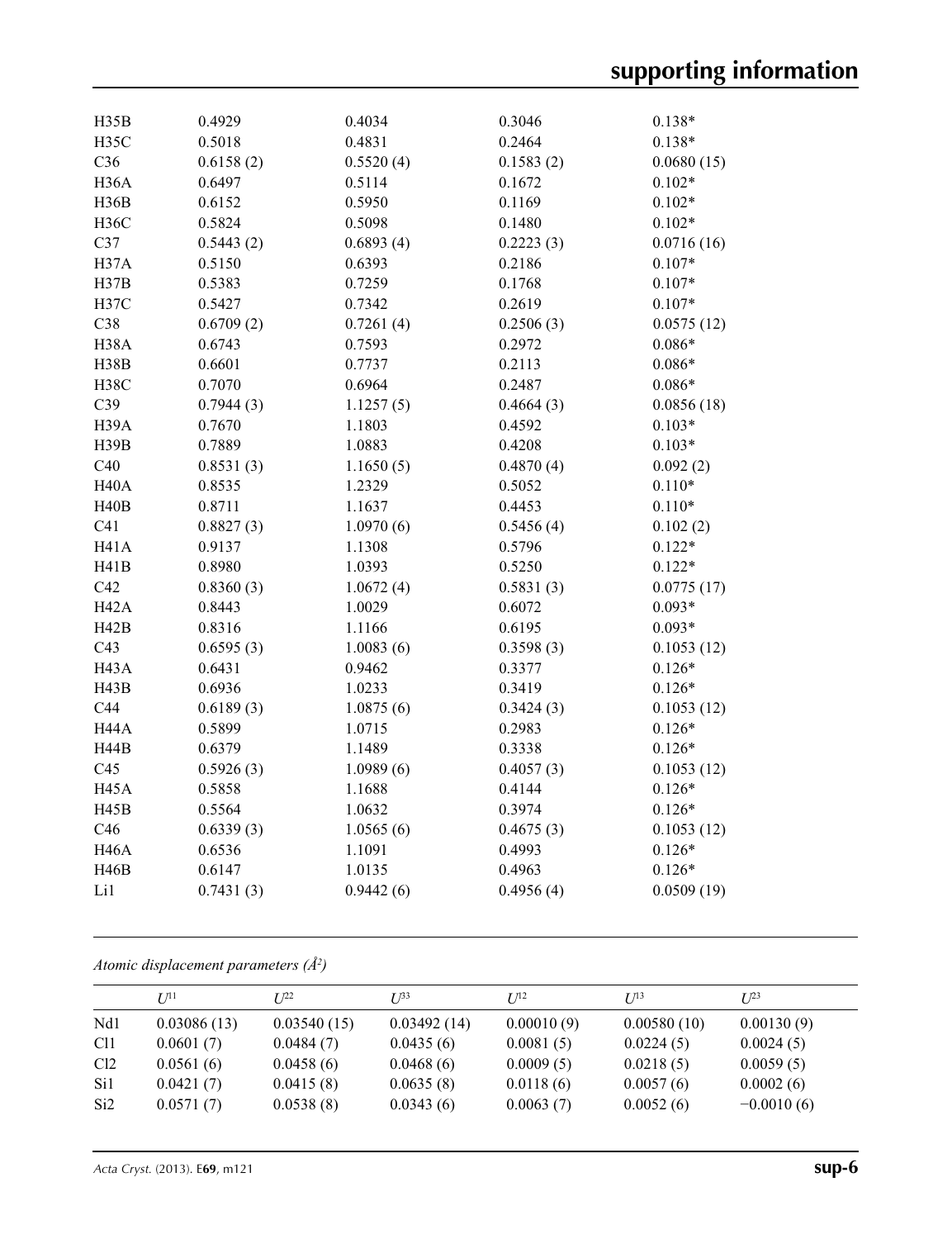| H <sub>35</sub> C<br>0.5018<br>0.4831<br>0.2464<br>$0.138*$<br>C36<br>0.6158(2)<br>0.5520(4)<br>0.1583(2)<br>0.0680(15)<br>H <sub>36</sub> A<br>0.6497<br>0.5114<br>0.1672<br>$0.102*$<br>0.5950<br>H36B<br>0.6152<br>0.1169<br>$0.102*$<br><b>H36C</b><br>0.5824<br>0.5098<br>0.1480<br>$0.102*$<br>C37<br>0.6893(4)<br>0.2223(3)<br>0.5443(2)<br>0.0716(16)<br>H37A<br>0.5150<br>0.6393<br>0.2186<br>$0.107*$<br>H37B<br>0.7259<br>0.5383<br>0.1768<br>$0.107*$<br>H37C<br>0.5427<br>0.7342<br>0.2619<br>$0.107*$<br>C38<br>0.6709(2)<br>0.7261(4)<br>0.2506(3)<br>0.0575(12)<br>H38A<br>0.6743<br>0.7593<br>0.2972<br>$0.086*$<br>H38B<br>0.7737<br>0.2113<br>0.6601<br>$0.086*$<br>H38C<br>0.7070<br>0.6964<br>0.2487<br>$0.086*$<br>C39<br>0.7944(3)<br>1.1257(5)<br>0.4664(3)<br>0.0856(18)<br>H39A<br>0.7670<br>1.1803<br>0.4592<br>$0.103*$<br>H39B<br>0.7889<br>1.0883<br>0.4208<br>$0.103*$<br>C40<br>0.8531(3)<br>1.1650(5)<br>0.4870(4)<br>0.092(2)<br><b>H40A</b><br>0.5052<br>$0.110*$<br>0.8535<br>1.2329<br>H40B<br>0.8711<br>1.1637<br>0.4453<br>$0.110*$<br>C <sub>41</sub><br>0.8827(3)<br>1.0970(6)<br>0.5456(4)<br>0.102(2)<br><b>H41A</b><br>0.5796<br>0.9137<br>1.1308<br>$0.122*$<br>H41B<br>0.8980<br>1.0393<br>0.5250<br>$0.122*$<br>C42<br>0.8360(3)<br>1.0672(4)<br>0.5831(3)<br>0.0775(17)<br>H <sub>42</sub> A<br>0.8443<br>1.0029<br>0.6072<br>$0.093*$<br>H42B<br>0.8316<br>1.1166<br>0.6195<br>$0.093*$<br>C43<br>0.6595(3)<br>1.0083(6)<br>0.3598(3)<br>0.1053(12)<br>H <sub>43</sub> A<br>0.6431<br>0.9462<br>0.3377<br>$0.126*$<br>H43B<br>0.6936<br>0.3419<br>$0.126*$<br>1.0233<br>C44<br>0.6189(3)<br>1.0875(6)<br>0.3424(3)<br>0.1053(12)<br>H44A<br>0.5899<br>1.0715<br>0.2983<br>$0.126*$<br><b>H44B</b><br>0.6379<br>1.1489<br>$0.126*$<br>0.3338<br>C45<br>0.5926(3)<br>1.0989(6)<br>0.4057(3)<br>0.1053(12)<br><b>H45A</b><br>0.5858<br>1.1688<br>0.4144<br>$0.126*$<br>0.5564<br>0.3974<br>H45B<br>1.0632<br>$0.126*$<br>C46<br>1.0565(6)<br>0.6339(3)<br>0.4675(3)<br>0.1053(12)<br><b>H46A</b><br>0.6536<br>1.1091<br>0.4993<br>$0.126*$ | H35B        | 0.4929 | 0.4034 | 0.3046 | $0.138*$ |
|------------------------------------------------------------------------------------------------------------------------------------------------------------------------------------------------------------------------------------------------------------------------------------------------------------------------------------------------------------------------------------------------------------------------------------------------------------------------------------------------------------------------------------------------------------------------------------------------------------------------------------------------------------------------------------------------------------------------------------------------------------------------------------------------------------------------------------------------------------------------------------------------------------------------------------------------------------------------------------------------------------------------------------------------------------------------------------------------------------------------------------------------------------------------------------------------------------------------------------------------------------------------------------------------------------------------------------------------------------------------------------------------------------------------------------------------------------------------------------------------------------------------------------------------------------------------------------------------------------------------------------------------------------------------------------------------------------------------------------------------------------------------------------------------------------------------------------------------------------------------------------------------------------------------------------------------------------------------------------------------------------------------------------------------------------------------------------------|-------------|--------|--------|--------|----------|
|                                                                                                                                                                                                                                                                                                                                                                                                                                                                                                                                                                                                                                                                                                                                                                                                                                                                                                                                                                                                                                                                                                                                                                                                                                                                                                                                                                                                                                                                                                                                                                                                                                                                                                                                                                                                                                                                                                                                                                                                                                                                                          |             |        |        |        |          |
|                                                                                                                                                                                                                                                                                                                                                                                                                                                                                                                                                                                                                                                                                                                                                                                                                                                                                                                                                                                                                                                                                                                                                                                                                                                                                                                                                                                                                                                                                                                                                                                                                                                                                                                                                                                                                                                                                                                                                                                                                                                                                          |             |        |        |        |          |
|                                                                                                                                                                                                                                                                                                                                                                                                                                                                                                                                                                                                                                                                                                                                                                                                                                                                                                                                                                                                                                                                                                                                                                                                                                                                                                                                                                                                                                                                                                                                                                                                                                                                                                                                                                                                                                                                                                                                                                                                                                                                                          |             |        |        |        |          |
|                                                                                                                                                                                                                                                                                                                                                                                                                                                                                                                                                                                                                                                                                                                                                                                                                                                                                                                                                                                                                                                                                                                                                                                                                                                                                                                                                                                                                                                                                                                                                                                                                                                                                                                                                                                                                                                                                                                                                                                                                                                                                          |             |        |        |        |          |
|                                                                                                                                                                                                                                                                                                                                                                                                                                                                                                                                                                                                                                                                                                                                                                                                                                                                                                                                                                                                                                                                                                                                                                                                                                                                                                                                                                                                                                                                                                                                                                                                                                                                                                                                                                                                                                                                                                                                                                                                                                                                                          |             |        |        |        |          |
|                                                                                                                                                                                                                                                                                                                                                                                                                                                                                                                                                                                                                                                                                                                                                                                                                                                                                                                                                                                                                                                                                                                                                                                                                                                                                                                                                                                                                                                                                                                                                                                                                                                                                                                                                                                                                                                                                                                                                                                                                                                                                          |             |        |        |        |          |
|                                                                                                                                                                                                                                                                                                                                                                                                                                                                                                                                                                                                                                                                                                                                                                                                                                                                                                                                                                                                                                                                                                                                                                                                                                                                                                                                                                                                                                                                                                                                                                                                                                                                                                                                                                                                                                                                                                                                                                                                                                                                                          |             |        |        |        |          |
|                                                                                                                                                                                                                                                                                                                                                                                                                                                                                                                                                                                                                                                                                                                                                                                                                                                                                                                                                                                                                                                                                                                                                                                                                                                                                                                                                                                                                                                                                                                                                                                                                                                                                                                                                                                                                                                                                                                                                                                                                                                                                          |             |        |        |        |          |
|                                                                                                                                                                                                                                                                                                                                                                                                                                                                                                                                                                                                                                                                                                                                                                                                                                                                                                                                                                                                                                                                                                                                                                                                                                                                                                                                                                                                                                                                                                                                                                                                                                                                                                                                                                                                                                                                                                                                                                                                                                                                                          |             |        |        |        |          |
|                                                                                                                                                                                                                                                                                                                                                                                                                                                                                                                                                                                                                                                                                                                                                                                                                                                                                                                                                                                                                                                                                                                                                                                                                                                                                                                                                                                                                                                                                                                                                                                                                                                                                                                                                                                                                                                                                                                                                                                                                                                                                          |             |        |        |        |          |
|                                                                                                                                                                                                                                                                                                                                                                                                                                                                                                                                                                                                                                                                                                                                                                                                                                                                                                                                                                                                                                                                                                                                                                                                                                                                                                                                                                                                                                                                                                                                                                                                                                                                                                                                                                                                                                                                                                                                                                                                                                                                                          |             |        |        |        |          |
|                                                                                                                                                                                                                                                                                                                                                                                                                                                                                                                                                                                                                                                                                                                                                                                                                                                                                                                                                                                                                                                                                                                                                                                                                                                                                                                                                                                                                                                                                                                                                                                                                                                                                                                                                                                                                                                                                                                                                                                                                                                                                          |             |        |        |        |          |
|                                                                                                                                                                                                                                                                                                                                                                                                                                                                                                                                                                                                                                                                                                                                                                                                                                                                                                                                                                                                                                                                                                                                                                                                                                                                                                                                                                                                                                                                                                                                                                                                                                                                                                                                                                                                                                                                                                                                                                                                                                                                                          |             |        |        |        |          |
|                                                                                                                                                                                                                                                                                                                                                                                                                                                                                                                                                                                                                                                                                                                                                                                                                                                                                                                                                                                                                                                                                                                                                                                                                                                                                                                                                                                                                                                                                                                                                                                                                                                                                                                                                                                                                                                                                                                                                                                                                                                                                          |             |        |        |        |          |
|                                                                                                                                                                                                                                                                                                                                                                                                                                                                                                                                                                                                                                                                                                                                                                                                                                                                                                                                                                                                                                                                                                                                                                                                                                                                                                                                                                                                                                                                                                                                                                                                                                                                                                                                                                                                                                                                                                                                                                                                                                                                                          |             |        |        |        |          |
|                                                                                                                                                                                                                                                                                                                                                                                                                                                                                                                                                                                                                                                                                                                                                                                                                                                                                                                                                                                                                                                                                                                                                                                                                                                                                                                                                                                                                                                                                                                                                                                                                                                                                                                                                                                                                                                                                                                                                                                                                                                                                          |             |        |        |        |          |
|                                                                                                                                                                                                                                                                                                                                                                                                                                                                                                                                                                                                                                                                                                                                                                                                                                                                                                                                                                                                                                                                                                                                                                                                                                                                                                                                                                                                                                                                                                                                                                                                                                                                                                                                                                                                                                                                                                                                                                                                                                                                                          |             |        |        |        |          |
|                                                                                                                                                                                                                                                                                                                                                                                                                                                                                                                                                                                                                                                                                                                                                                                                                                                                                                                                                                                                                                                                                                                                                                                                                                                                                                                                                                                                                                                                                                                                                                                                                                                                                                                                                                                                                                                                                                                                                                                                                                                                                          |             |        |        |        |          |
|                                                                                                                                                                                                                                                                                                                                                                                                                                                                                                                                                                                                                                                                                                                                                                                                                                                                                                                                                                                                                                                                                                                                                                                                                                                                                                                                                                                                                                                                                                                                                                                                                                                                                                                                                                                                                                                                                                                                                                                                                                                                                          |             |        |        |        |          |
|                                                                                                                                                                                                                                                                                                                                                                                                                                                                                                                                                                                                                                                                                                                                                                                                                                                                                                                                                                                                                                                                                                                                                                                                                                                                                                                                                                                                                                                                                                                                                                                                                                                                                                                                                                                                                                                                                                                                                                                                                                                                                          |             |        |        |        |          |
|                                                                                                                                                                                                                                                                                                                                                                                                                                                                                                                                                                                                                                                                                                                                                                                                                                                                                                                                                                                                                                                                                                                                                                                                                                                                                                                                                                                                                                                                                                                                                                                                                                                                                                                                                                                                                                                                                                                                                                                                                                                                                          |             |        |        |        |          |
|                                                                                                                                                                                                                                                                                                                                                                                                                                                                                                                                                                                                                                                                                                                                                                                                                                                                                                                                                                                                                                                                                                                                                                                                                                                                                                                                                                                                                                                                                                                                                                                                                                                                                                                                                                                                                                                                                                                                                                                                                                                                                          |             |        |        |        |          |
|                                                                                                                                                                                                                                                                                                                                                                                                                                                                                                                                                                                                                                                                                                                                                                                                                                                                                                                                                                                                                                                                                                                                                                                                                                                                                                                                                                                                                                                                                                                                                                                                                                                                                                                                                                                                                                                                                                                                                                                                                                                                                          |             |        |        |        |          |
|                                                                                                                                                                                                                                                                                                                                                                                                                                                                                                                                                                                                                                                                                                                                                                                                                                                                                                                                                                                                                                                                                                                                                                                                                                                                                                                                                                                                                                                                                                                                                                                                                                                                                                                                                                                                                                                                                                                                                                                                                                                                                          |             |        |        |        |          |
|                                                                                                                                                                                                                                                                                                                                                                                                                                                                                                                                                                                                                                                                                                                                                                                                                                                                                                                                                                                                                                                                                                                                                                                                                                                                                                                                                                                                                                                                                                                                                                                                                                                                                                                                                                                                                                                                                                                                                                                                                                                                                          |             |        |        |        |          |
|                                                                                                                                                                                                                                                                                                                                                                                                                                                                                                                                                                                                                                                                                                                                                                                                                                                                                                                                                                                                                                                                                                                                                                                                                                                                                                                                                                                                                                                                                                                                                                                                                                                                                                                                                                                                                                                                                                                                                                                                                                                                                          |             |        |        |        |          |
|                                                                                                                                                                                                                                                                                                                                                                                                                                                                                                                                                                                                                                                                                                                                                                                                                                                                                                                                                                                                                                                                                                                                                                                                                                                                                                                                                                                                                                                                                                                                                                                                                                                                                                                                                                                                                                                                                                                                                                                                                                                                                          |             |        |        |        |          |
|                                                                                                                                                                                                                                                                                                                                                                                                                                                                                                                                                                                                                                                                                                                                                                                                                                                                                                                                                                                                                                                                                                                                                                                                                                                                                                                                                                                                                                                                                                                                                                                                                                                                                                                                                                                                                                                                                                                                                                                                                                                                                          |             |        |        |        |          |
|                                                                                                                                                                                                                                                                                                                                                                                                                                                                                                                                                                                                                                                                                                                                                                                                                                                                                                                                                                                                                                                                                                                                                                                                                                                                                                                                                                                                                                                                                                                                                                                                                                                                                                                                                                                                                                                                                                                                                                                                                                                                                          |             |        |        |        |          |
|                                                                                                                                                                                                                                                                                                                                                                                                                                                                                                                                                                                                                                                                                                                                                                                                                                                                                                                                                                                                                                                                                                                                                                                                                                                                                                                                                                                                                                                                                                                                                                                                                                                                                                                                                                                                                                                                                                                                                                                                                                                                                          |             |        |        |        |          |
|                                                                                                                                                                                                                                                                                                                                                                                                                                                                                                                                                                                                                                                                                                                                                                                                                                                                                                                                                                                                                                                                                                                                                                                                                                                                                                                                                                                                                                                                                                                                                                                                                                                                                                                                                                                                                                                                                                                                                                                                                                                                                          |             |        |        |        |          |
|                                                                                                                                                                                                                                                                                                                                                                                                                                                                                                                                                                                                                                                                                                                                                                                                                                                                                                                                                                                                                                                                                                                                                                                                                                                                                                                                                                                                                                                                                                                                                                                                                                                                                                                                                                                                                                                                                                                                                                                                                                                                                          |             |        |        |        |          |
|                                                                                                                                                                                                                                                                                                                                                                                                                                                                                                                                                                                                                                                                                                                                                                                                                                                                                                                                                                                                                                                                                                                                                                                                                                                                                                                                                                                                                                                                                                                                                                                                                                                                                                                                                                                                                                                                                                                                                                                                                                                                                          |             |        |        |        |          |
|                                                                                                                                                                                                                                                                                                                                                                                                                                                                                                                                                                                                                                                                                                                                                                                                                                                                                                                                                                                                                                                                                                                                                                                                                                                                                                                                                                                                                                                                                                                                                                                                                                                                                                                                                                                                                                                                                                                                                                                                                                                                                          |             |        |        |        |          |
|                                                                                                                                                                                                                                                                                                                                                                                                                                                                                                                                                                                                                                                                                                                                                                                                                                                                                                                                                                                                                                                                                                                                                                                                                                                                                                                                                                                                                                                                                                                                                                                                                                                                                                                                                                                                                                                                                                                                                                                                                                                                                          |             |        |        |        |          |
|                                                                                                                                                                                                                                                                                                                                                                                                                                                                                                                                                                                                                                                                                                                                                                                                                                                                                                                                                                                                                                                                                                                                                                                                                                                                                                                                                                                                                                                                                                                                                                                                                                                                                                                                                                                                                                                                                                                                                                                                                                                                                          |             |        |        |        |          |
|                                                                                                                                                                                                                                                                                                                                                                                                                                                                                                                                                                                                                                                                                                                                                                                                                                                                                                                                                                                                                                                                                                                                                                                                                                                                                                                                                                                                                                                                                                                                                                                                                                                                                                                                                                                                                                                                                                                                                                                                                                                                                          | <b>H46B</b> | 0.6147 | 1.0135 | 0.4963 | $0.126*$ |
| Li1<br>0.7431(3)<br>0.9442(6)<br>0.4956(4)<br>0.0509(19)                                                                                                                                                                                                                                                                                                                                                                                                                                                                                                                                                                                                                                                                                                                                                                                                                                                                                                                                                                                                                                                                                                                                                                                                                                                                                                                                                                                                                                                                                                                                                                                                                                                                                                                                                                                                                                                                                                                                                                                                                                 |             |        |        |        |          |

*Atomic displacement parameters (Å2 )*

|                 | $U^{11}$    | $I^{22}$    | $I^{\beta 3}$ | $I/I^2$    | $I/I^3$     | $I^{23}$     |
|-----------------|-------------|-------------|---------------|------------|-------------|--------------|
| Nd1             | 0.03086(13) | 0.03540(15) | 0.03492(14)   | 0.00010(9) | 0.00580(10) | 0.00130(9)   |
| C <sub>11</sub> | 0.0601(7)   | 0.0484(7)   | 0.0435(6)     | 0.0081(5)  | 0.0224(5)   | 0.0024(5)    |
| Cl <sub>2</sub> | 0.0561(6)   | 0.0458(6)   | 0.0468(6)     | 0.0009(5)  | 0.0218(5)   | 0.0059(5)    |
| Si1             | 0.0421(7)   | 0.0415(8)   | 0.0635(8)     | 0.0118(6)  | 0.0057(6)   | 0.0002(6)    |
| Si <sub>2</sub> | 0.0571(7)   | 0.0538(8)   | 0.0343(6)     | 0.0063(7)  | 0.0052(6)   | $-0.0010(6)$ |
|                 |             |             |               |            |             |              |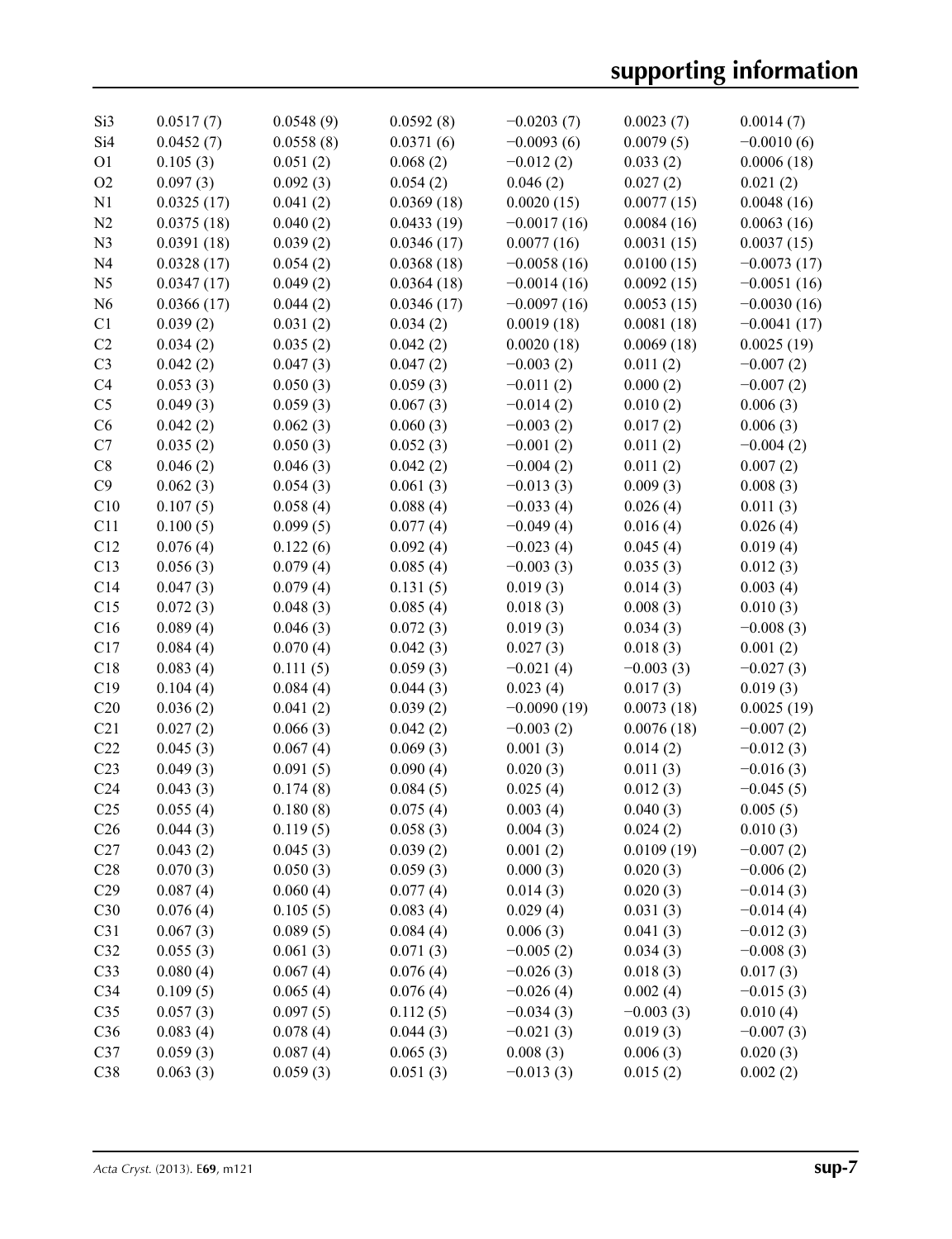| Si3             | 0.0517(7)  | 0.0548(9) | 0.0592(8)  | $-0.0203(7)$  | 0.0023(7)   | 0.0014(7)     |
|-----------------|------------|-----------|------------|---------------|-------------|---------------|
| Si4             | 0.0452(7)  | 0.0558(8) | 0.0371(6)  | $-0.0093(6)$  | 0.0079(5)   | $-0.0010(6)$  |
| O <sub>1</sub>  | 0.105(3)   | 0.051(2)  | 0.068(2)   | $-0.012(2)$   | 0.033(2)    | 0.0006(18)    |
| O <sub>2</sub>  | 0.097(3)   | 0.092(3)  | 0.054(2)   | 0.046(2)      | 0.027(2)    | 0.021(2)      |
| N1              | 0.0325(17) | 0.041(2)  | 0.0369(18) | 0.0020(15)    | 0.0077(15)  | 0.0048(16)    |
| N <sub>2</sub>  | 0.0375(18) | 0.040(2)  | 0.0433(19) | $-0.0017(16)$ | 0.0084(16)  | 0.0063(16)    |
| N <sub>3</sub>  | 0.0391(18) | 0.039(2)  | 0.0346(17) | 0.0077(16)    | 0.0031(15)  | 0.0037(15)    |
| N <sub>4</sub>  | 0.0328(17) | 0.054(2)  | 0.0368(18) | $-0.0058(16)$ | 0.0100(15)  | $-0.0073(17)$ |
| N <sub>5</sub>  | 0.0347(17) | 0.049(2)  | 0.0364(18) | $-0.0014(16)$ | 0.0092(15)  | $-0.0051(16)$ |
| N <sub>6</sub>  | 0.0366(17) | 0.044(2)  | 0.0346(17) | $-0.0097(16)$ | 0.0053(15)  | $-0.0030(16)$ |
| C <sub>1</sub>  | 0.039(2)   | 0.031(2)  | 0.034(2)   | 0.0019(18)    | 0.0081(18)  | $-0.0041(17)$ |
| C2              | 0.034(2)   | 0.035(2)  | 0.042(2)   | 0.0020(18)    | 0.0069(18)  | 0.0025(19)    |
| C <sub>3</sub>  | 0.042(2)   | 0.047(3)  | 0.047(2)   | $-0.003(2)$   | 0.011(2)    | $-0.007(2)$   |
| C4              | 0.053(3)   | 0.050(3)  | 0.059(3)   | $-0.011(2)$   | 0.000(2)    | $-0.007(2)$   |
| C <sub>5</sub>  | 0.049(3)   | 0.059(3)  | 0.067(3)   | $-0.014(2)$   | 0.010(2)    | 0.006(3)      |
| C6              | 0.042(2)   | 0.062(3)  | 0.060(3)   | $-0.003(2)$   | 0.017(2)    | 0.006(3)      |
| C7              | 0.035(2)   | 0.050(3)  | 0.052(3)   | $-0.001(2)$   | 0.011(2)    | $-0.004(2)$   |
| C8              | 0.046(2)   | 0.046(3)  | 0.042(2)   | $-0.004(2)$   | 0.011(2)    | 0.007(2)      |
| C9              | 0.062(3)   | 0.054(3)  | 0.061(3)   | $-0.013(3)$   | 0.009(3)    | 0.008(3)      |
| C10             | 0.107(5)   | 0.058(4)  | 0.088(4)   | $-0.033(4)$   | 0.026(4)    | 0.011(3)      |
| C11             | 0.100(5)   | 0.099(5)  | 0.077(4)   | $-0.049(4)$   | 0.016(4)    | 0.026(4)      |
| C12             | 0.076(4)   | 0.122(6)  | 0.092(4)   | $-0.023(4)$   | 0.045(4)    | 0.019(4)      |
| C13             | 0.056(3)   | 0.079(4)  | 0.085(4)   | $-0.003(3)$   | 0.035(3)    | 0.012(3)      |
| C14             | 0.047(3)   | 0.079(4)  | 0.131(5)   | 0.019(3)      | 0.014(3)    | 0.003(4)      |
| C15             | 0.072(3)   | 0.048(3)  | 0.085(4)   | 0.018(3)      | 0.008(3)    | 0.010(3)      |
| C16             | 0.089(4)   | 0.046(3)  | 0.072(3)   | 0.019(3)      | 0.034(3)    | $-0.008(3)$   |
| C17             | 0.084(4)   | 0.070(4)  | 0.042(3)   | 0.027(3)      | 0.018(3)    | 0.001(2)      |
| C18             | 0.083(4)   | 0.111(5)  | 0.059(3)   | $-0.021(4)$   | $-0.003(3)$ | $-0.027(3)$   |
| C19             | 0.104(4)   | 0.084(4)  | 0.044(3)   | 0.023(4)      | 0.017(3)    | 0.019(3)      |
| C20             | 0.036(2)   | 0.041(2)  | 0.039(2)   | $-0.0090(19)$ | 0.0073(18)  | 0.0025(19)    |
| C <sub>21</sub> | 0.027(2)   | 0.066(3)  | 0.042(2)   | $-0.003(2)$   | 0.0076(18)  | $-0.007(2)$   |
| C22             | 0.045(3)   | 0.067(4)  | 0.069(3)   | 0.001(3)      | 0.014(2)    | $-0.012(3)$   |
| C <sub>23</sub> | 0.049(3)   | 0.091(5)  | 0.090(4)   | 0.020(3)      | 0.011(3)    | $-0.016(3)$   |
| C <sub>24</sub> | 0.043(3)   | 0.174(8)  | 0.084(5)   | 0.025(4)      | 0.012(3)    | $-0.045(5)$   |
| C <sub>25</sub> | 0.055(4)   | 0.180(8)  | 0.075(4)   | 0.003(4)      | 0.040(3)    | 0.005(5)      |
| C <sub>26</sub> | 0.044(3)   | 0.119(5)  | 0.058(3)   | 0.004(3)      | 0.024(2)    | 0.010(3)      |
| C27             | 0.043(2)   | 0.045(3)  | 0.039(2)   | 0.001(2)      | 0.0109(19)  | $-0.007(2)$   |
| C28             | 0.070(3)   | 0.050(3)  | 0.059(3)   | 0.000(3)      | 0.020(3)    | $-0.006(2)$   |
| C29             | 0.087(4)   | 0.060(4)  | 0.077(4)   | 0.014(3)      | 0.020(3)    | $-0.014(3)$   |
| C30             | 0.076(4)   | 0.105(5)  | 0.083(4)   | 0.029(4)      | 0.031(3)    | $-0.014(4)$   |
| C31             | 0.067(3)   | 0.089(5)  | 0.084(4)   | 0.006(3)      | 0.041(3)    | $-0.012(3)$   |
| C32             | 0.055(3)   | 0.061(3)  | 0.071(3)   | $-0.005(2)$   | 0.034(3)    | $-0.008(3)$   |
| C33             | 0.080(4)   | 0.067(4)  | 0.076(4)   | $-0.026(3)$   | 0.018(3)    | 0.017(3)      |
| C34             | 0.109(5)   | 0.065(4)  | 0.076(4)   | $-0.026(4)$   | 0.002(4)    | $-0.015(3)$   |
| C <sub>35</sub> | 0.057(3)   | 0.097(5)  | 0.112(5)   | $-0.034(3)$   | $-0.003(3)$ | 0.010(4)      |
| C36             | 0.083(4)   | 0.078(4)  | 0.044(3)   | $-0.021(3)$   | 0.019(3)    | $-0.007(3)$   |
| C37             | 0.059(3)   | 0.087(4)  | 0.065(3)   | 0.008(3)      | 0.006(3)    | 0.020(3)      |
| C38             | 0.063(3)   | 0.059(3)  | 0.051(3)   | $-0.013(3)$   | 0.015(2)    | 0.002(2)      |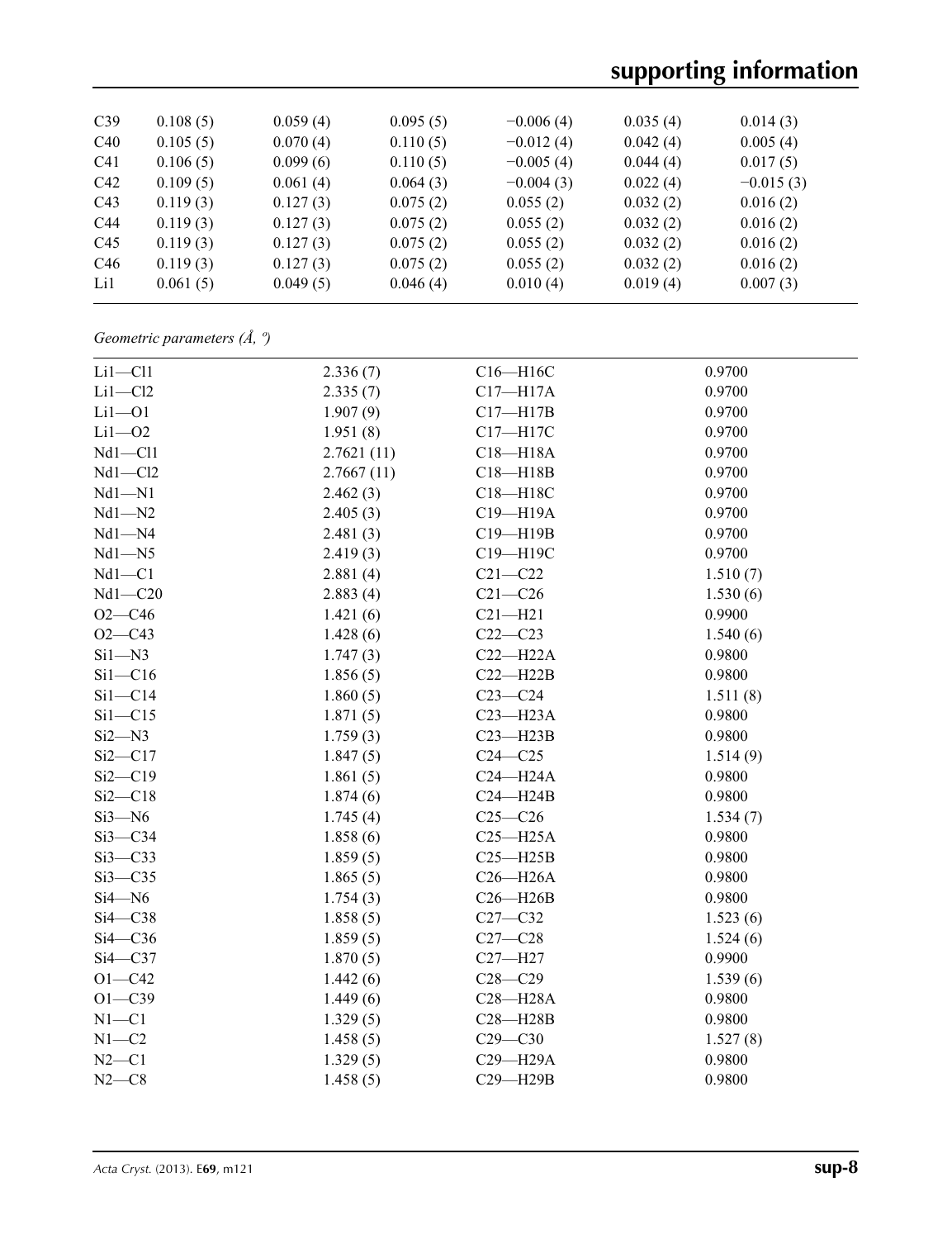# **supporting information**

| C39             | 0.108(5) | 0.059(4) | 0.095(5) | $-0.006(4)$ | 0.035(4) | 0.014(3)    |  |
|-----------------|----------|----------|----------|-------------|----------|-------------|--|
| C40             | 0.105(5) | 0.070(4) | 0.110(5) | $-0.012(4)$ | 0.042(4) | 0.005(4)    |  |
| C <sub>41</sub> | 0.106(5) | 0.099(6) | 0.110(5) | $-0.005(4)$ | 0.044(4) | 0.017(5)    |  |
| C42             | 0.109(5) | 0.061(4) | 0.064(3) | $-0.004(3)$ | 0.022(4) | $-0.015(3)$ |  |
| C <sub>43</sub> | 0.119(3) | 0.127(3) | 0.075(2) | 0.055(2)    | 0.032(2) | 0.016(2)    |  |
| C <sub>44</sub> | 0.119(3) | 0.127(3) | 0.075(2) | 0.055(2)    | 0.032(2) | 0.016(2)    |  |
| C <sub>45</sub> | 0.119(3) | 0.127(3) | 0.075(2) | 0.055(2)    | 0.032(2) | 0.016(2)    |  |
| C46             | 0.119(3) | 0.127(3) | 0.075(2) | 0.055(2)    | 0.032(2) | 0.016(2)    |  |
| Li1             | 0.061(5) | 0.049(5) | 0.046(4) | 0.010(4)    | 0.019(4) | 0.007(3)    |  |
|                 |          |          |          |             |          |             |  |

*Geometric parameters (Å, º)*

| $Li1 - Cl1$ | 2.336(7)   | C16-H16C     | 0.9700   |
|-------------|------------|--------------|----------|
| $Li1-C12$   | 2.335(7)   | $C17 - H17A$ | 0.9700   |
| $Li1 - O1$  | 1.907(9)   | $C17 - H17B$ | 0.9700   |
| $Li1 - O2$  | 1.951(8)   | C17-H17C     | 0.9700   |
| $Nd1 - Cl1$ | 2.7621(11) | $C18 - H18A$ | 0.9700   |
| $Nd1 - Cl2$ | 2.7667(11) | $C18 - H18B$ | 0.9700   |
| $Nd1 - N1$  | 2.462(3)   | C18-H18C     | 0.9700   |
| $Nd1 - N2$  | 2.405(3)   | C19-H19A     | 0.9700   |
| $Nd1 - N4$  | 2.481(3)   | C19-H19B     | 0.9700   |
| $Nd1 - N5$  | 2.419(3)   | C19-H19C     | 0.9700   |
| $Nd1 - C1$  | 2.881(4)   | $C21 - C22$  | 1.510(7) |
| $Nd1 - C20$ | 2.883(4)   | $C21 - C26$  | 1.530(6) |
| $O2 - C46$  | 1.421(6)   | $C21 - H21$  | 0.9900   |
| $O2 - C43$  | 1.428(6)   | $C22-C23$    | 1.540(6) |
| $Si1 - N3$  | 1.747(3)   | $C22-H22A$   | 0.9800   |
| $Si1 - C16$ | 1.856(5)   | $C22-H22B$   | 0.9800   |
| $Si1 - C14$ | 1.860(5)   | $C23-C24$    | 1.511(8) |
| $Si1 - C15$ | 1.871(5)   | $C23 - H23A$ | 0.9800   |
| $Si2 - N3$  | 1.759(3)   | $C23 - H23B$ | 0.9800   |
| $Si2 - C17$ | 1.847(5)   | $C24 - C25$  | 1.514(9) |
| $Si2-C19$   | 1.861(5)   | $C24 - H24A$ | 0.9800   |
| $Si2-C18$   | 1.874(6)   | $C24 - H24B$ | 0.9800   |
| $Si3 - N6$  | 1.745(4)   | $C25-C26$    | 1.534(7) |
| $Si3-C34$   | 1.858(6)   | $C25 - H25A$ | 0.9800   |
| $Si3-C33$   | 1.859(5)   | $C25 - H25B$ | 0.9800   |
| $Si3-C35$   | 1.865(5)   | $C26 - H26A$ | 0.9800   |
| $Si4 - N6$  | 1.754(3)   | $C26 - H26B$ | 0.9800   |
| $Si4-C38$   | 1.858(5)   | $C27-C32$    | 1.523(6) |
| $Si4-C36$   | 1.859(5)   | $C27-C28$    | 1.524(6) |
| $Si4-C37$   | 1.870(5)   | $C27 - H27$  | 0.9900   |
| $O1 - C42$  | 1.442(6)   | $C28 - C29$  | 1.539(6) |
| $O1 - C39$  | 1.449(6)   | $C28 - H28A$ | 0.9800   |
| $N1 - C1$   | 1.329(5)   | $C28 - H28B$ | 0.9800   |
| $N1 - C2$   | 1.458(5)   | $C29 - C30$  | 1.527(8) |
| $N2 - C1$   | 1.329(5)   | C29-H29A     | 0.9800   |
| $N2-C8$     | 1.458(5)   | C29-H29B     | 0.9800   |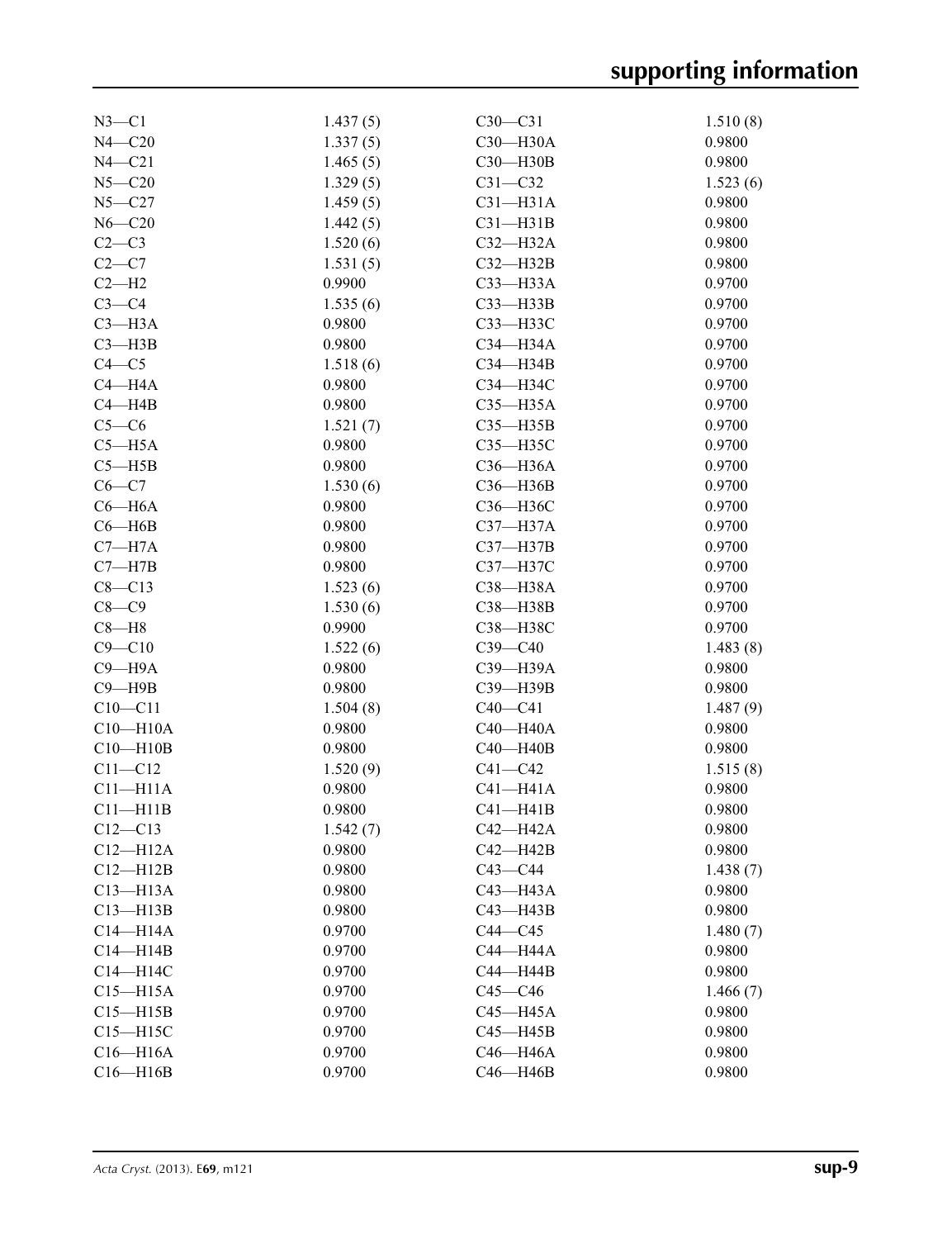| $N3 - C1$    | 1.437(5) | $C30-C31$    | 1.510(8) |
|--------------|----------|--------------|----------|
| $N4 - C20$   | 1.337(5) | C30-H30A     | 0.9800   |
| $N4 - C21$   | 1.465(5) | C30-H30B     | 0.9800   |
| $N5 - C20$   | 1.329(5) | $C31 - C32$  | 1.523(6) |
| $N5 - C27$   | 1.459(5) | $C31 - H31A$ | 0.9800   |
| $N6 - C20$   | 1.442(5) | $C31 - H31B$ | 0.9800   |
| $C2-C3$      | 1.520(6) | $C32-H32A$   | 0.9800   |
| $C2-C7$      | 1.531(5) | $C32 - H32B$ | 0.9800   |
| $C2-H2$      | 0.9900   | $C33$ -H33A  | 0.9700   |
| $C3-C4$      | 1.535(6) | $C33 - H33B$ | 0.9700   |
| $C3 - H3A$   | 0.9800   | СЗЗ-НЗЗС     | 0.9700   |
| $C3 - H3B$   | 0.9800   | C34-H34A     | 0.9700   |
| $C4 - C5$    | 1.518(6) | C34-H34B     | 0.9700   |
| $C4 - H4A$   | 0.9800   | СЗ4-НЗ4С     | 0.9700   |
| $C4 - H4B$   | 0.9800   | $C35 - H35A$ | 0.9700   |
| $C5-C6$      | 1.521(7) | $C35 - H35B$ | 0.9700   |
| $C5 - H5A$   | 0.9800   | C35-H35C     | 0.9700   |
| $C5 - H5B$   | 0.9800   | C36-H36A     | 0.9700   |
| $C6 - C7$    | 1.530(6) | C36-H36B     | 0.9700   |
| $C6 - H6A$   | 0.9800   | C36-H36C     | 0.9700   |
| $C6 - H6B$   | 0.9800   | C37-H37A     | 0.9700   |
| $C7 - H7A$   | 0.9800   | $C37 - H37B$ | 0.9700   |
| $C7 - H7B$   | 0.9800   | C37-H37C     | 0.9700   |
| $C8 - C13$   | 1.523(6) | C38-H38A     | 0.9700   |
| $C8 - C9$    | 1.530(6) | C38-H38B     | 0.9700   |
| $C8 - H8$    | 0.9900   | C38-H38C     | 0.9700   |
| $C9 - C10$   | 1.522(6) | $C39 - C40$  | 1.483(8) |
| $C9 - H9A$   | 0.9800   | C39-H39A     | 0.9800   |
| $C9 - H9B$   | 0.9800   | C39-H39B     | 0.9800   |
| $C10 - C11$  | 1.504(8) | $C40-C41$    | 1.487(9) |
| $C10 - H10A$ | 0.9800   | $C40 - H40A$ | 0.9800   |
| $C10 - H10B$ | 0.9800   | $C40 - H40B$ | 0.9800   |
| $C11 - C12$  | 1.520(9) | $C41 - C42$  | 1.515(8) |
| $C11 - H11A$ | 0.9800   | $C41 - H41A$ | 0.9800   |
| $C11 - H11B$ | 0.9800   | $C41 - H41B$ | 0.9800   |
| $C12 - C13$  | 1.542(7) | C42-H42A     | 0.9800   |
| $C12 - H12A$ | 0.9800   | $C42 - H42B$ | 0.9800   |
| $C12 - H12B$ | 0.9800   | $C43 - C44$  | 1.438(7) |
| $C13 - H13A$ | 0.9800   | C43-H43A     | 0.9800   |
| $C13 - H13B$ | 0.9800   | $C43 - H43B$ | 0.9800   |
| $C14 - H14A$ | 0.9700   | $C44 - C45$  | 1.480(7) |
| $C14 - H14B$ | 0.9700   | C44-H44A     | 0.9800   |
| C14-H14C     | 0.9700   | $C44 - H44B$ | 0.9800   |
| $C15 - H15A$ | 0.9700   | $C45 - C46$  | 1.466(7) |
| $C15 - H15B$ | 0.9700   | C45-H45A     | 0.9800   |
| $C15 - H15C$ | 0.9700   | $C45 - H45B$ | 0.9800   |
| $C16 - H16A$ | 0.9700   | C46-H46A     | 0.9800   |
| $C16 - H16B$ | 0.9700   | $C46 - H46B$ | 0.9800   |
|              |          |              |          |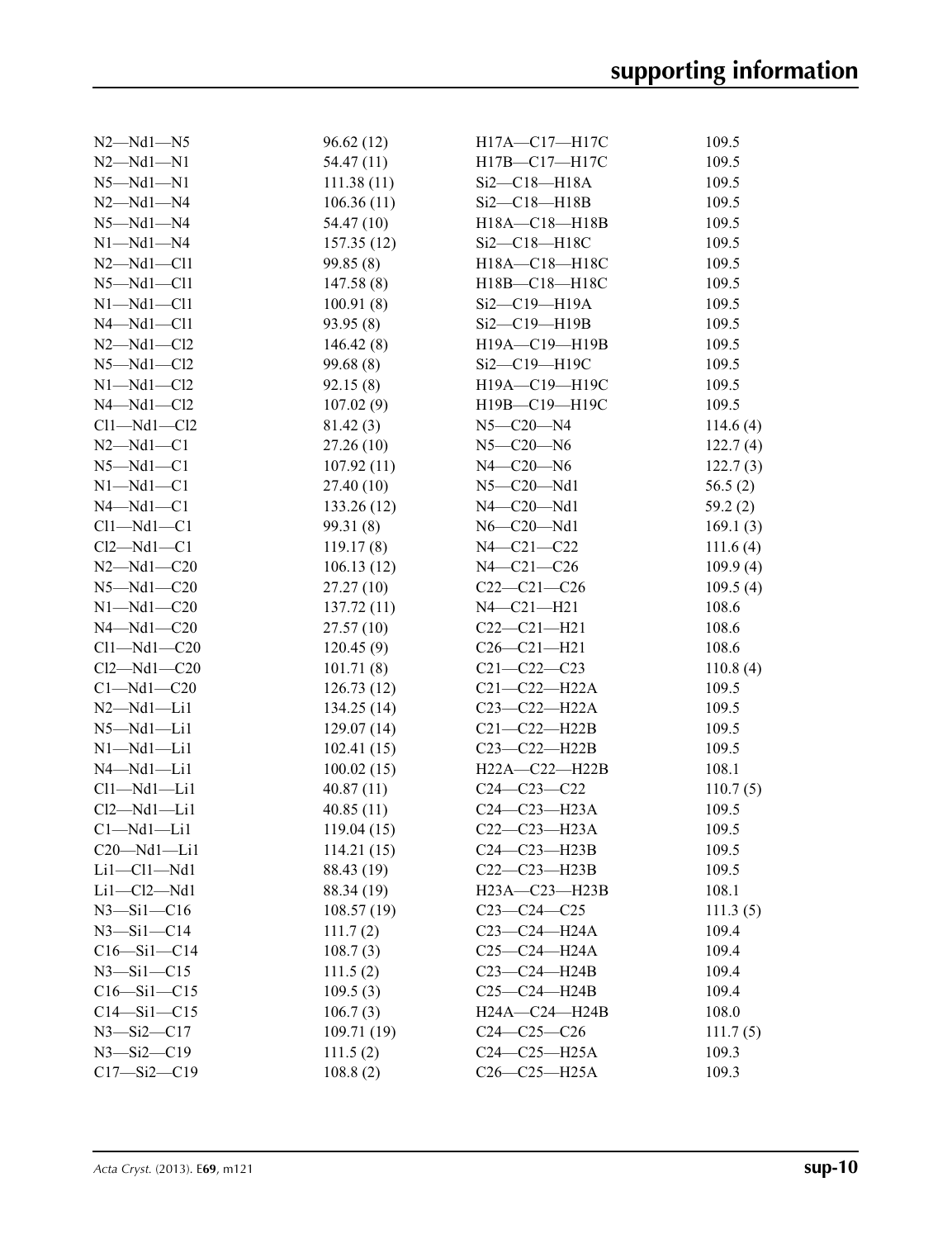| $N2 - Nd1 - N5$      | 96.62(12)  | H17A-C17-H17C        | 109.5       |
|----------------------|------------|----------------------|-------------|
| $N2 - Nd1 - N1$      | 54.47 (11) | H17B-C17-H17C        | 109.5       |
| $N5 - Nd1 - N1$      | 111.38(11) | $Si2-C18-H18A$       | 109.5       |
| $N2 - Nd1 - N4$      | 106.36(11) | $Si2-C18-H18B$       | 109.5       |
| $N5 - Nd1 - N4$      | 54.47 (10) | H18A-C18-H18B        | 109.5       |
| $N1 - Nd1 - N4$      | 157.35(12) | Si2-C18-H18C         | 109.5       |
| $N2$ — $Nd1$ — $Cl1$ | 99.85(8)   | H18A-C18-H18C        | 109.5       |
| $N5 - Nd1 - Cl1$     | 147.58(8)  | H18B-C18-H18C        | 109.5       |
| $N1 - Nd1 - Cl1$     | 100.91(8)  | Si2-C19-H19A         | 109.5       |
| $N4 - Nd1 - C11$     | 93.95 (8)  | Si2-C19-H19B         | 109.5       |
| $N2$ — $Nd1$ — $Cl2$ | 146.42(8)  | H19A-C19-H19B        | 109.5       |
| $N5 - Nd1 - C12$     | 99.68(8)   | Si2-C19-H19C         | 109.5       |
| $N1 - Nd1 - C12$     | 92.15(8)   | H19A-C19-H19C        | 109.5       |
| $N4 - Nd1 - Cl2$     | 107.02(9)  | H19B-C19-H19C        | 109.5       |
| $Cl1-Md1-Cl2$        | 81.42(3)   | $N5 - C20 - N4$      | 114.6 $(4)$ |
| $N2 - Nd1 - C1$      | 27.26(10)  | $N5 - C20 - N6$      | 122.7(4)    |
| $N5 - Nd1 - C1$      | 107.92(11) | $N4 - C20 - N6$      | 122.7(3)    |
| $N1 - Nd1 - C1$      | 27.40(10)  | $N5-C20-Nd1$         | 56.5 $(2)$  |
| $N4 - Nd1 - C1$      | 133.26(12) | $N4$ – $C20$ – $Nd1$ | 59.2(2)     |
| $Cl1-Md1-C1$         | 99.31(8)   | $N6$ — $C20$ — $Nd1$ | 169.1(3)    |
| $Cl2-Md1-C1$         | 119.17(8)  | N4-C21-C22           | 111.6(4)    |
| $N2 - Nd1 - C20$     | 106.13(12) | $N4 - C21 - C26$     | 109.9(4)    |
| $N5 - Nd1 - C20$     | 27.27(10)  | $C22-C21-C26$        | 109.5(4)    |
| $N1 - Nd1 - C20$     | 137.72(11) | $N4 - C21 - H21$     | 108.6       |
| $N4 - Nd1 - C20$     | 27.57(10)  | $C22-C21-H21$        | 108.6       |
| $Cl1-Md1-C20$        | 120.45(9)  | $C26 - C21 - H21$    | 108.6       |
| $Cl2 - Nd1 - C20$    | 101.71(8)  | $C21 - C22 - C23$    | 110.8(4)    |
| $Cl-Md1-C20$         | 126.73(12) | $C21 - C22 - H22A$   | 109.5       |
| $N2$ — $Nd1$ — $Li1$ | 134.25(14) | $C23 - C22 - H22A$   | 109.5       |
| $N5 - Nd1 - Li1$     | 129.07(14) | $C21 - C22 - H22B$   | 109.5       |
| $N1 - Nd1 - Li1$     | 102.41(15) | $C23 - C22 - H22B$   | 109.5       |
| $N4 - Nd1 - Li1$     | 100.02(15) | H22A-C22-H22B        | 108.1       |
| $Cl1-Md1-Li1$        | 40.87(11)  | $C24 - C23 - C22$    | 110.7(5)    |
| $Cl2-Md1-Li1$        | 40.85(11)  | $C24-C23-H23A$       | 109.5       |
| $Cl-Mdl-Lil$         | 119.04(15) | $C22-C23-H23A$       | 109.5       |
| $C20$ -Nd1-Li1       | 114.21(15) | $C24-C23-H23B$       | 109.5       |
| $Li1-C11-Md1$        | 88.43 (19) | $C22-C23-H23B$       | 109.5       |
| $Li1-C12-Md1$        | 88.34 (19) | H23A-C23-H23B        | 108.1       |
| $N3 - Si1 - C16$     | 108.57(19) | $C23-C24-C25$        | 111.3(5)    |
| $N3 - Si1 - C14$     | 111.7(2)   | $C23 - C24 - H24A$   | 109.4       |
| $C16 - Si1 - C14$    | 108.7(3)   | C25-C24-H24A         | 109.4       |
| $N3 - Si1 - C15$     | 111.5(2)   | $C23 - C24 - H24B$   | 109.4       |
| $C16 - Si1 - C15$    | 109.5(3)   | $C25-C24-H24B$       | 109.4       |
| $C14 - Si1 - C15$    | 106.7(3)   | $H24A - C24 - H24B$  | 108.0       |
| $N3 - Si2 - C17$     | 109.71(19) | $C24-C25-C26$        | 111.7(5)    |
| $N3 - Si2 - C19$     | 111.5(2)   | $C24-C25-H25A$       | 109.3       |
| $C17 - Si2 - C19$    | 108.8(2)   | C26-C25-H25A         | 109.3       |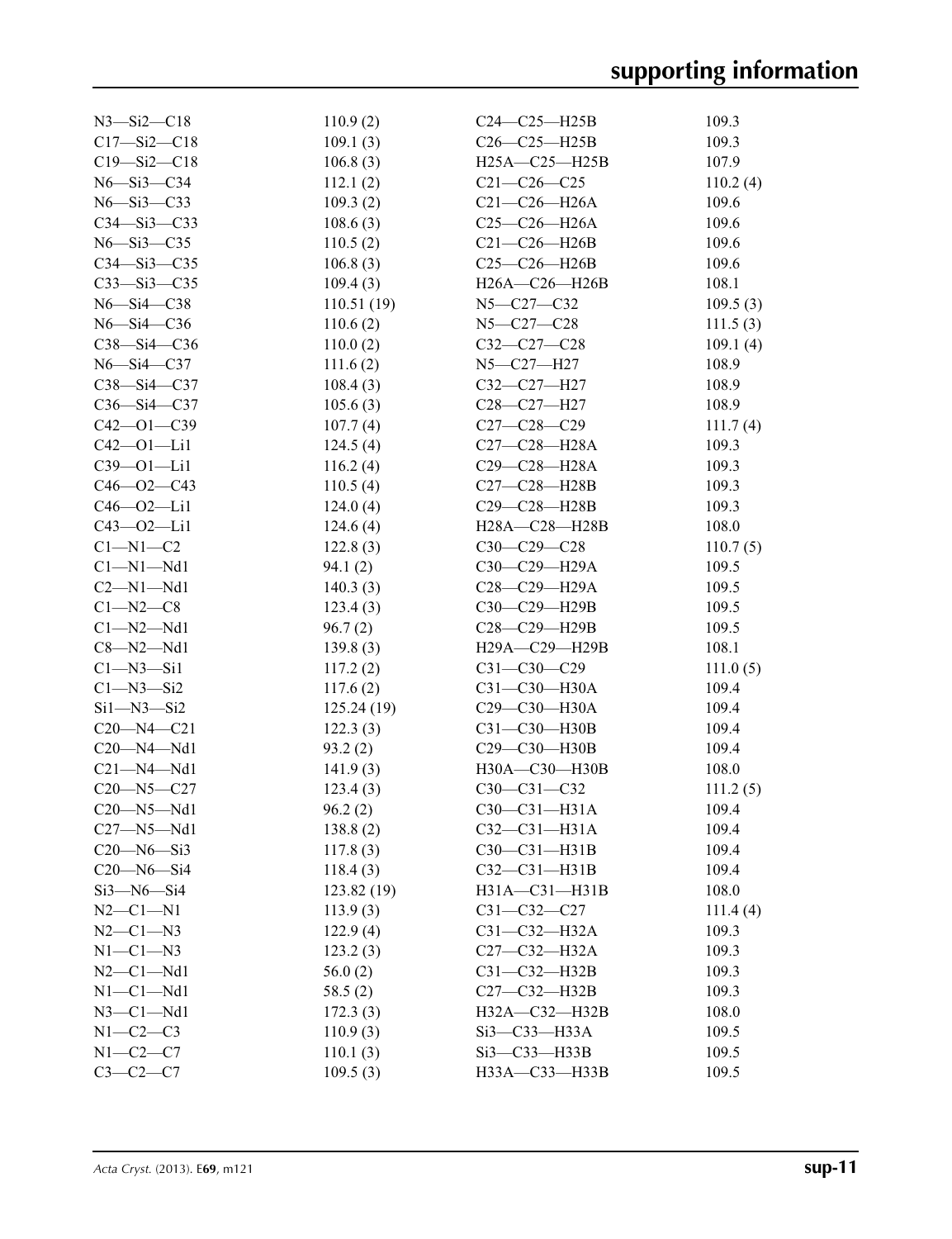| $N3 - Si2 - C18$    | 110.9(2)   | $C24-C25-H25B$      | 109.3    |
|---------------------|------------|---------------------|----------|
| $C17 - Si2 - C18$   | 109.1(3)   | $C26 - C25 - H25B$  | 109.3    |
| $C19 - Si2 - C18$   | 106.8(3)   | $H25A - C25 - H25B$ | 107.9    |
| N6-Si3-C34          | 112.1(2)   | $C21 - C26 - C25$   | 110.2(4) |
| $N6 - Si3 - C33$    | 109.3(2)   | $C21-C26-H26A$      | 109.6    |
| $C34 - Si3 - C33$   | 108.6(3)   | $C25 - C26 - H26A$  | 109.6    |
| $N6 - Si3 - C35$    | 110.5(2)   | $C21 - C26 - H26B$  | 109.6    |
| $C34 - Si3 - C35$   | 106.8(3)   | $C25-C26-H26B$      | 109.6    |
| $C33 - Si3 - C35$   | 109.4(3)   | H26A-C26-H26B       | 108.1    |
| $N6 - Si4 - C38$    | 110.51(19) | N5-C27-C32          | 109.5(3) |
| $N6 - Si4 - C36$    | 110.6(2)   | $N5 - C27 - C28$    | 111.5(3) |
| $C38 - Si4 - C36$   | 110.0(2)   | $C32-C27-C28$       | 109.1(4) |
| $N6 - Si4 - C37$    | 111.6(2)   | N5-C27-H27          | 108.9    |
| $C38 - Si4 - C37$   | 108.4(3)   | C32-C27-H27         | 108.9    |
| $C36 - Si4 - C37$   | 105.6(3)   | C28-C27-H27         | 108.9    |
| $C42 - 01 - C39$    | 107.7(4)   | $C27 - C28 - C29$   | 111.7(4) |
| $C42 - 01 - Li1$    | 124.5(4)   | C27-C28-H28A        | 109.3    |
| $C39 - 01 - Li1$    | 116.2(4)   | $C29 - C28 - H28A$  | 109.3    |
| $C46 - O2 - C43$    | 110.5(4)   | C27-C28-H28B        | 109.3    |
| $C46 - 02 - Li1$    | 124.0(4)   | C29-C28-H28B        | 109.3    |
| $C43 - 02 - Li1$    | 124.6(4)   | H28A—C28—H28B       | 108.0    |
| $C1 - N1 - C2$      | 122.8(3)   | $C30-C29-C28$       | 110.7(5) |
| $Cl-M1-Md1$         | 94.1(2)    | $C30-C29-H29A$      | 109.5    |
| $C2-M1-Md1$         | 140.3(3)   | C28-C29-H29A        | 109.5    |
| $C1 - N2 - C8$      | 123.4(3)   | C30-C29-H29B        | 109.5    |
| $Cl-M2-Md1$         | 96.7(2)    | C28-C29-H29B        | 109.5    |
| $C8 - N2 - Nd1$     | 139.8(3)   | H29A-C29-H29B       | 108.1    |
| $Cl-M3-Si1$         | 117.2(2)   | $C31 - C30 - C29$   | 111.0(5) |
| $C1 - N3 - Si2$     | 117.6(2)   | $C31 - C30 - H30A$  | 109.4    |
| $Si1 - N3 - Si2$    | 125.24(19) | $C29 - C30 - H30A$  | 109.4    |
| $C20 - N4 - C21$    | 122.3(3)   | $C31 - C30 - H30B$  | 109.4    |
| $C20 - N4 - Nd1$    | 93.2(2)    | C29-C30-H30B        | 109.4    |
| $C21 - N4 - Nd1$    | 141.9(3)   | H30A-C30-H30B       | 108.0    |
| $C20 - N5 - C27$    | 123.4(3)   | $C30 - C31 - C32$   | 111.2(5) |
| $C20 - N5 - Nd1$    | 96.2(2)    | $C30-C31-H31A$      | 109.4    |
| $C27 - N5 - Nd1$    | 138.8(2)   | $C32 - C31 - H31A$  | 109.4    |
| $C20 - N6 - Si3$    | 117.8(3)   | C30-C31-H31B        | 109.4    |
| $C20 - N6 - Si4$    | 118.4(3)   | $C32-C31-H31B$      | 109.4    |
| $Si3 - N6 - Si4$    | 123.82(19) | H31A-C31-H31B       | 108.0    |
| $N2-C1-N1$          | 113.9(3)   | $C31 - C32 - C27$   | 111.4(4) |
| $N2 - C1 - N3$      | 122.9(4)   | $C31 - C32 - H32A$  | 109.3    |
| $N1-C1-N3$          | 123.2(3)   | $C27 - C32 - H32A$  | 109.3    |
| $N2-C1-Md1$         | 56.0(2)    | $C31 - C32 - H32B$  | 109.3    |
| $N1-C1-Md1$         | 58.5(2)    | $C27 - C32 - H32B$  | 109.3    |
| $N3$ – $Cl$ – $Nd1$ | 172.3(3)   | H32A-C32-H32B       | 108.0    |
| $N1-C2-C3$          | 110.9(3)   | Si3-C33-H33A        | 109.5    |
| $N1-C2-C7$          | 110.1(3)   | $Si3$ — $C33$ —H33B | 109.5    |
| $C3-C2-C7$          | 109.5(3)   | H33A-C33-H33B       | 109.5    |
|                     |            |                     |          |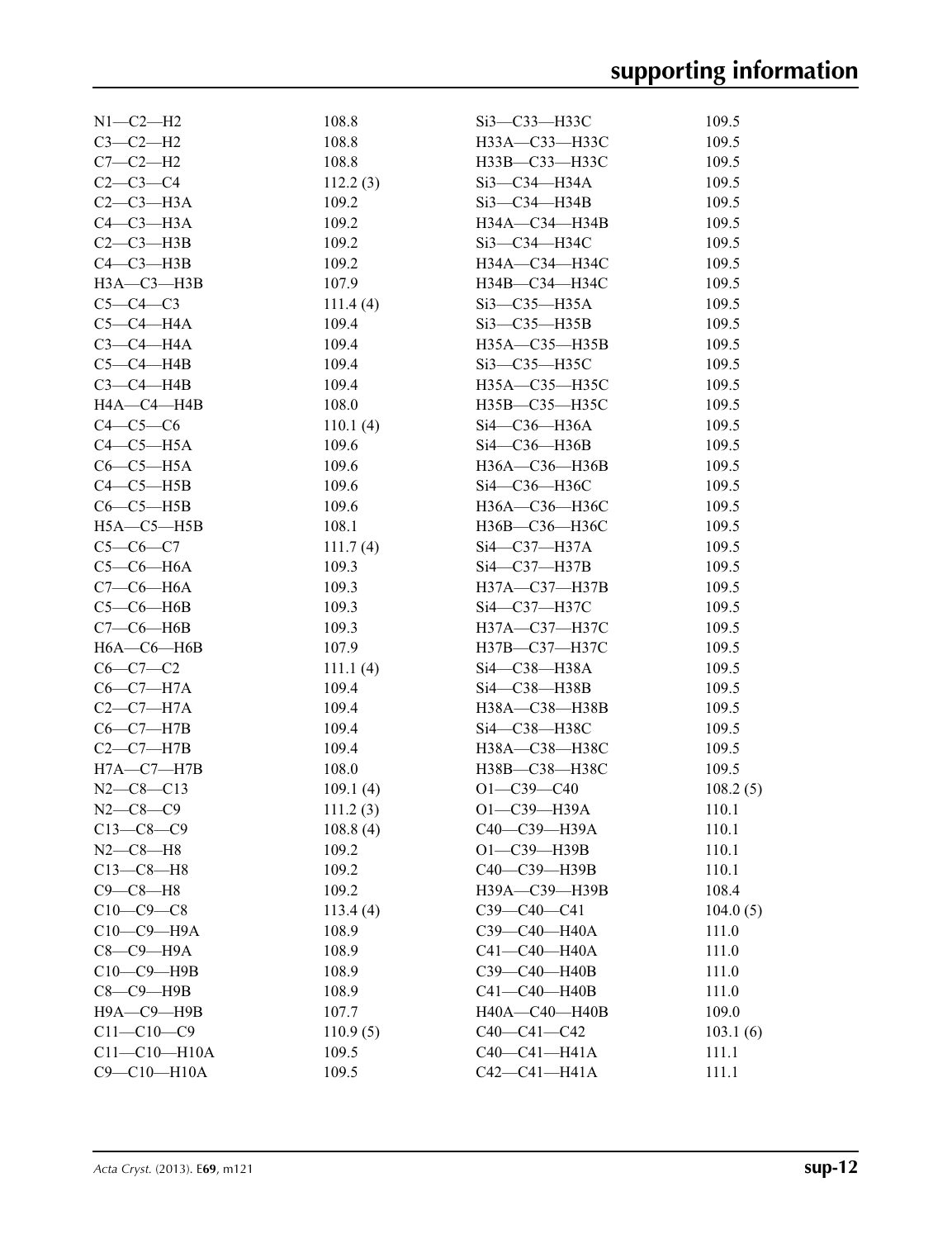| $N1-C2-H2$         | 108.8    | Si3-C33-H33C           | 109.5    |
|--------------------|----------|------------------------|----------|
| $C3-C2-H2$         | 108.8    | H33A—C33—H33C          | 109.5    |
| $C7-C2-H2$         | 108.8    | H33B-C33-H33C          | 109.5    |
| $C2 - C3 - C4$     | 112.2(3) | Si3-C34-H34A           | 109.5    |
| $C2-C3-H3A$        | 109.2    | Si3-C34-H34B           | 109.5    |
| $C4-C3-H3A$        | 109.2    | H34A-C34-H34B          | 109.5    |
| $C2-C3-H3B$        | 109.2    | Si3-C34-H34C           | 109.5    |
| $C4-C3-H3B$        | 109.2    | H34A—C34—H34C          | 109.5    |
| $H3A - C3 - H3B$   | 107.9    | H34B-C34-H34C          | 109.5    |
| $C5-C4-C3$         | 111.4(4) | $Si3-C35-H35A$         | 109.5    |
| $C5-C4-H4A$        | 109.4    | $Si3-C35-H35B$         | 109.5    |
| $C3-C4-H4A$        | 109.4    | H35A-C35-H35B          | 109.5    |
| $C5-C4-HAB$        | 109.4    | $Si3$ — $C35$ — $H35C$ | 109.5    |
| $C3-C4-H4B$        | 109.4    | H35A-C35-H35C          | 109.5    |
| $HA$ —C4— $H$ 4B   | 108.0    | H35B-C35-H35C          | 109.5    |
| $C4-C5-C6$         | 110.1(4) | Si4-C36-H36A           | 109.5    |
| $C4-C5-H5A$        | 109.6    | Si4-C36-H36B           | 109.5    |
| $C6-C5-H5A$        | 109.6    | H36A-C36-H36B          | 109.5    |
| $C4-C5-H5B$        | 109.6    | Si4-C36-H36C           | 109.5    |
| $C6-C5-H5B$        | 109.6    | H36A—C36—H36C          | 109.5    |
| $H5A - C5 - H5B$   | 108.1    | H36B-C36-H36C          | 109.5    |
| $C5-C6-C7$         | 111.7(4) | $Si4$ —C37—H37A        | 109.5    |
| $C5-C6-H6A$        | 109.3    | Si4-C37-H37B           | 109.5    |
| $C7-C6-H6A$        | 109.3    | H37A-C37-H37B          | 109.5    |
| $C5-C6-HAB$        | 109.3    | Si4-C37-H37C           | 109.5    |
| $C7-C6-H6B$        | 109.3    | H37A—C37—H37C          | 109.5    |
| $H6A-C6-H6B$       | 107.9    | H37B-C37-H37C          | 109.5    |
| $C6-C7-C2$         | 111.1(4) | Si4-C38-H38A           | 109.5    |
| $C6-C7-H7A$        | 109.4    | Si4—C38—H38B           | 109.5    |
| $C2-C7-H7A$        | 109.4    | H38A-C38-H38B          | 109.5    |
| $C6-C7-H7B$        | 109.4    | Si4-C38-H38C           | 109.5    |
| $C2-C7-H7B$        | 109.4    | H38A-C38-H38C          | 109.5    |
| $H7A - C7 - H7B$   | 108.0    | H38B-C38-H38C          | 109.5    |
| $N2-C8-C13$        | 109.1(4) | $O1 - C39 - C40$       | 108.2(5) |
| $N2-C8-C9$         | 111.2(3) | $O1 - C39 - H39A$      | 110.1    |
| $C13-C8-C9$        | 108.8(4) | C40-C39-H39A           | 110.1    |
| $N2 - C8 - H8$     | 109.2    | O1-C39-H39B            | 110.1    |
| $C13-C8-H8$        | 109.2    | C40-C39-H39B           | 110.1    |
| $C9-C8-H8$         | 109.2    | H39A-C39-H39B          | 108.4    |
| $C10-C9-C8$        | 113.4(4) | $C39-C40-C41$          | 104.0(5) |
| $C10-C9-$ H9A      | 108.9    | C39-C40-H40A           | 111.0    |
| $C8-C9-H9A$        | 108.9    | $C41 - C40 - H40A$     | 111.0    |
| С10-С9-Н9В         | 108.9    | СЗ9-С40-Н40В           | 111.0    |
| $C8-C9$ -H9B       | 108.9    | C41-C40-H40B           | 111.0    |
| Н9А-С9-Н9В         | 107.7    | H40A-C40-H40B          | 109.0    |
| $C11 - C10 - C9$   | 110.9(5) | $C40-C41-C42$          | 103.1(6) |
| $C11 - C10 - H10A$ | 109.5    | $C40-C41-H41A$         | 111.1    |
| $C9 - C10 - H10A$  | 109.5    | $C42 - C41 - H41A$     | 111.1    |
|                    |          |                        |          |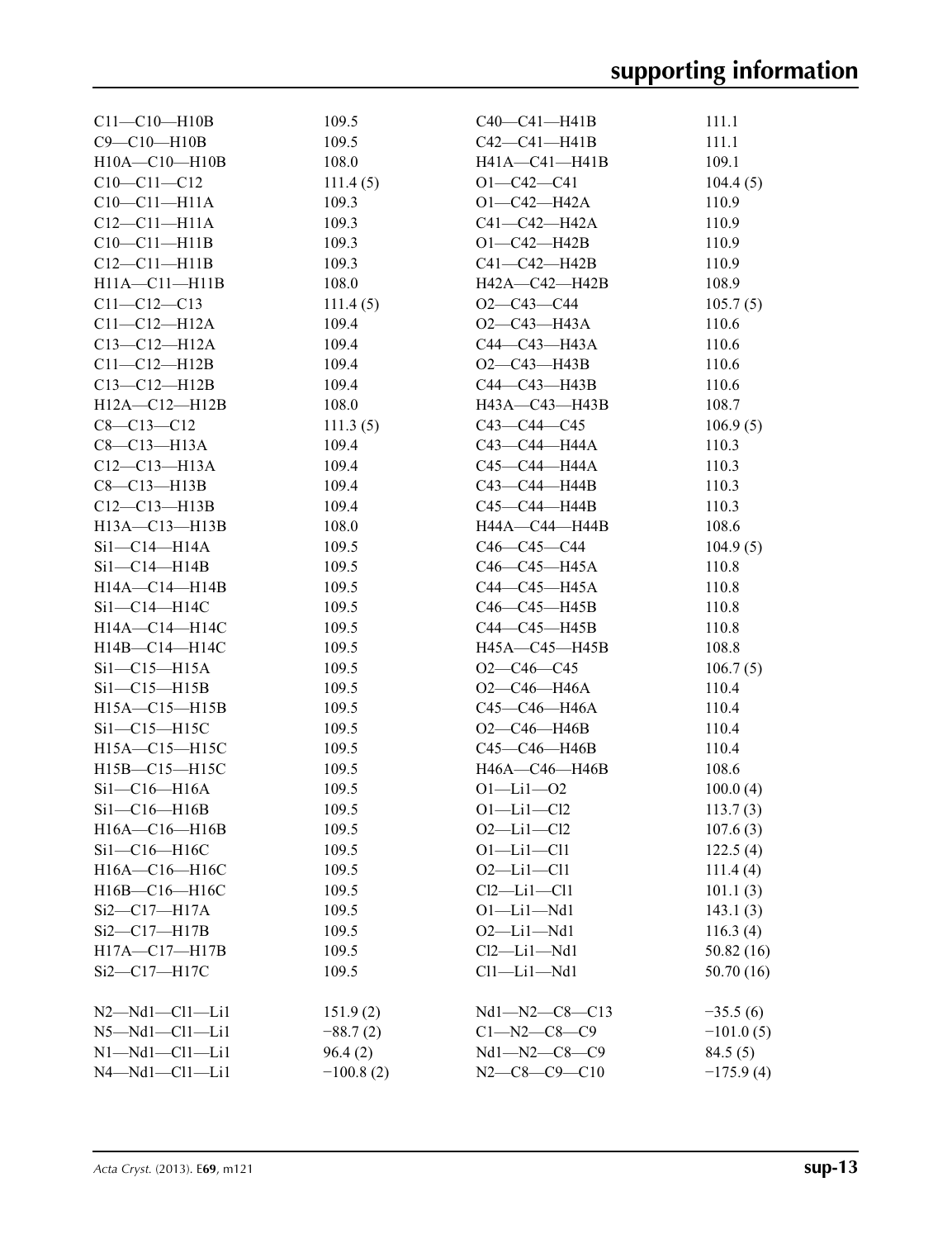| $C11 - C10 - H10B$           | 109.5       | $C40 - C41 - H41B$    | 111.1       |
|------------------------------|-------------|-----------------------|-------------|
| $C9 - C10 - H10B$            | 109.5       | C42—C41—H41B          | 111.1       |
| $H10A - C10 - H10B$          | 108.0       | H41A—C41—H41B         | 109.1       |
| $C10-C11-C12$                | 111.4(5)    | $O1 - C42 - C41$      | 104.4(5)    |
| $C10-C11-H11A$               | 109.3       | O1-C42-H42A           | 110.9       |
| $C12 - C11 - H11A$           | 109.3       | C41—C42—H42A          | 110.9       |
| $C10-C11-H11B$               | 109.3       | $O1 - C42 - H42B$     | 110.9       |
| $C12 - C11 - H11B$           | 109.3       | C41-C42-H42B          | 110.9       |
| H11A-C11-H11B                | 108.0       | H42A—C42—H42B         | 108.9       |
| $C11 - C12 - C13$            | 111.4(5)    | $O2-C43-C44$          | 105.7(5)    |
| $C11 - C12 - H12A$           | 109.4       | O2—C43—H43A           | 110.6       |
| C13-C12-H12A                 | 109.4       | C44—C43—H43A          | 110.6       |
| $C11 - C12 - H12B$           | 109.4       | O2—C43—H43B           | 110.6       |
| $C13 - C12 - H12B$           | 109.4       | C44—C43—H43B          | 110.6       |
| H12A-C12-H12B                | 108.0       | H43A-C43-H43B         | 108.7       |
| $C8 - C13 - C12$             | 111.3(5)    | $C43 - C44 - C45$     | 106.9(5)    |
| C8-C13-H13A                  | 109.4       | С43—С44—Н44А          | 110.3       |
| $C12 - C13 - H13A$           | 109.4       | С45—С44—Н44А          | 110.3       |
| $C8-C13-H13B$                | 109.4       | C43—C44—H44B          | 110.3       |
| C12-C13-H13B                 | 109.4       | C45—C44—H44B          | 110.3       |
|                              | 108.0       | H44A—C44—H44B         | 108.6       |
| H13A—C13—H13B                |             | C46—C45—C44           |             |
| Sil—C14—H14A                 | 109.5       |                       | 104.9(5)    |
| Si1—C14—H14B                 | 109.5       | C46—C45—H45A          | 110.8       |
| H14A-C14-H14B                | 109.5       | C44—C45—H45A          | 110.8       |
| $Si1-C14-H14C$               | 109.5       | C46—C45—H45B          | 110.8       |
| H14A—C14—H14C                | 109.5       | C44—C45—H45B          | 110.8       |
| $H14B - C14 - H14C$          | 109.5       | H45A—C45—H45B         | 108.8       |
| $Si1-C15-H15A$               | 109.5       | $O2-C46-C45$          | 106.7(5)    |
| $Si1-C15-H15B$               | 109.5       | O2—C46—H46A           | 110.4       |
| $H15A - C15 - H15B$          | 109.5       | С45—С46—Н46А          | 110.4       |
| $Si1-C15-H15C$               | 109.5       | O2—C46—H46B           | 110.4       |
| H15A-C15-H15C                | 109.5       | C45—C46—H46B          | 110.4       |
| $H15B - C15 - H15C$          | 109.5       | H46A—C46—H46B         | 108.6       |
| $Si1-C16-H16A$               | 109.5       | $O1 - Li1 - O2$       | 100.0(4)    |
| Si1—C16—H16B                 | 109.5       | 01—Li1—Cl2            | 113.7(3)    |
| $H16A - C16 - H16B$          | 109.5       | $O2$ —Li $1$ —Cl2     | 107.6(3)    |
| $Si1-C16-H16C$               | 109.5       | $O1 - Li1 - Cl1$      | 122.5(4)    |
| H16A-C16-H16C                | 109.5       | $O2 - Li1 - Cl1$      | 111.4(4)    |
| H16B-C16-H16C                | 109.5       | $Cl2$ -Li $1$ -Cl1    | 101.1(3)    |
| Si2-C17-H17A                 | 109.5       | $O1 - Li1 - Nd1$      | 143.1(3)    |
| $Si2-C17-H17B$               | 109.5       | $O2$ -Li $1$ -Nd $1$  | 116.3(4)    |
| H17A-C17-H17B                | 109.5       | $Cl2$ -Li $1$ -Nd $1$ | 50.82(16)   |
| $Si2$ - $Cl7$ - $H17C$       | 109.5       | $Cl1$ —Li $1$ —Nd $1$ | 50.70(16)   |
| $N2$ — $Nd1$ — $Cl1$ — $Li1$ | 151.9(2)    | Nd1-N2-C8-C13         | $-35.5(6)$  |
| $N5 - Nd1 - Cl1 - Li1$       | $-88.7(2)$  | $C1 - N2 - C8 - C9$   | $-101.0(5)$ |
| $N1 - Nd1 - Cl1 - Li1$       | 96.4(2)     | $Nd1 - N2 - C8 - C9$  | 84.5(5)     |
| $N4 - Nd1 - Cl1 - Li1$       | $-100.8(2)$ | $N2-C8-C9-C10$        | $-175.9(4)$ |
|                              |             |                       |             |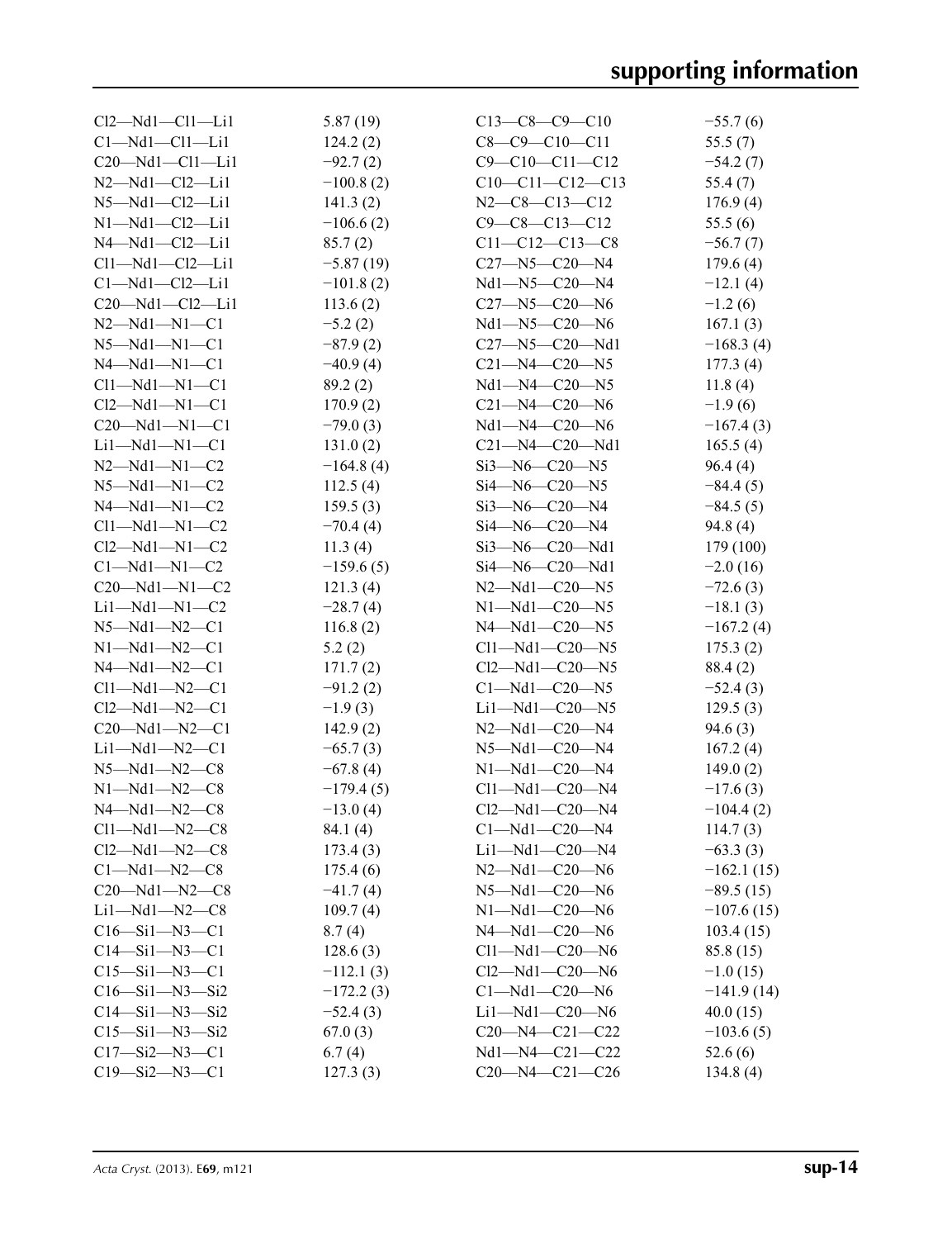| $Cl2-Md1-Cl1-Li1$       | 5.87(19)    | $C13-C8-C9-C10$              | $-55.7(6)$   |
|-------------------------|-------------|------------------------------|--------------|
| $Cl-Md1-Cl1-Li1$        | 124.2(2)    | $C8-C9-C10-C11$              | 55.5(7)      |
| $C20 - Nd1 - Cl1 - Li1$ | $-92.7(2)$  | $C9 - C10 - C11 - C12$       | $-54.2(7)$   |
| $N2 - Nd1 - Cl2 - Li1$  | $-100.8(2)$ | $C10-C11-C12-C13$            | 55.4(7)      |
| $N5 - Nd1 - Cl2 - Li1$  | 141.3(2)    | $N2-C8-C13-C12$              | 176.9(4)     |
| $N1 - Nd1 - Cl2 - Li1$  | $-106.6(2)$ | $C9 - C8 - C13 - C12$        | 55.5(6)      |
| $N4 - Nd1 - Cl2 - Li1$  | 85.7(2)     | $C11-C12-C13-C8$             | $-56.7(7)$   |
| $Cl1-Md1-Cl2-Li1$       | $-5.87(19)$ | $C27 - N5 - C20 - N4$        | 179.6(4)     |
| $Cl-Md1-Cl2-Li1$        | $-101.8(2)$ | $Nd1 - N5 - C20 - N4$        | $-12.1(4)$   |
| $C20$ —Nd1—Cl2—Li1      | 113.6(2)    | $C27 - N5 - C20 - N6$        | $-1.2(6)$    |
| $N2 - Nd1 - N1 - C1$    | $-5.2(2)$   | $Nd1 - N5 - C20 - N6$        | 167.1(3)     |
| $N5-Md1-N1-C1$          | $-87.9(2)$  | $C27 - N5 - C20 - Nd1$       | $-168.3(4)$  |
| $N4 - Nd1 - N1 - C1$    | $-40.9(4)$  | $C21 - N4 - C20 - N5$        | 177.3(4)     |
| $Cl1-Md1-N1-C1$         | 89.2(2)     | Nd1-N4-C20-N5                | 11.8(4)      |
| $Cl2-Md1-N1-C1$         | 170.9(2)    | $C21 - N4 - C20 - N6$        | $-1.9(6)$    |
| $C20$ —Nd1—N1—C1        | $-79.0(3)$  | $Nd1 - N4 - C20 - N6$        | $-167.4(3)$  |
| $Li1-Md1-N1-C1$         | 131.0(2)    | $C21 - N4 - C20 - Nd1$       | 165.5(4)     |
| $N2 - Nd1 - N1 - C2$    | $-164.8(4)$ | $Si3 - N6 - C20 - N5$        | 96.4(4)      |
| $N5-Md1-N1-C2$          | 112.5(4)    | $Si4 - N6 - C20 - N5$        | $-84.4(5)$   |
| $N4 - Nd1 - N1 - C2$    | 159.5(3)    | $Si3 - N6 - C20 - N4$        | $-84.5(5)$   |
| $Cl1-Md1-N1-C2$         | $-70.4(4)$  | $Si4 - N6 - C20 - N4$        | 94.8(4)      |
| $Cl2-Md1-N1-C2$         | 11.3(4)     | $Si3 - N6 - C20 - Nd1$       | 179 (100)    |
| $C1-Md1-N1-C2$          | $-159.6(5)$ | $Si4$ — $N6$ — $C20$ — $Nd1$ | $-2.0(16)$   |
| $C20 - Nd1 - N1 - C2$   | 121.3(4)    | $N2 - Nd1 - C20 - N5$        | $-72.6(3)$   |
| $Li1-Md1-N1-C2$         | $-28.7(4)$  | $N1 - Nd1 - C20 - N5$        | $-18.1(3)$   |
| $N5 - Nd1 - N2 - C1$    | 116.8(2)    | $N4 - Nd1 - C20 - N5$        | $-167.2(4)$  |
| $N1 - Nd1 - N2 - C1$    | 5.2(2)      | $Cl1-Md1-C20-N5$             | 175.3(2)     |
| $N4 - Nd1 - N2 - C1$    | 171.7(2)    | $Cl2$ —Nd1—C20—N5            | 88.4 (2)     |
| $Cl1 - Nd1 - N2 - Cl$   | $-91.2(2)$  | $C1-Md1-C20-N5$              | $-52.4(3)$   |
| $Cl2-Md1-N2-C1$         | $-1.9(3)$   | $Li1-Md1-C20-N5$             | 129.5(3)     |
| $C20$ —Nd1—N2—C1        | 142.9(2)    | $N2 - Nd1 - C20 - N4$        | 94.6 (3)     |
| $Li1-Md1-N2-C1$         | $-65.7(3)$  | $N5 - Nd1 - C20 - N4$        | 167.2(4)     |
| $N5-Md1-N2-C8$          | $-67.8(4)$  | $N1 - Nd1 - C20 - N4$        | 149.0(2)     |
| $N1-Md1-N2-C8$          | $-179.4(5)$ | $Cl1 - Nd1 - C20 - N4$       | $-17.6(3)$   |
| $N4 - Nd1 - N2 - C8$    | $-13.0(4)$  | $Cl2$ —Nd1—C20—N4            | $-104.4(2)$  |
| $Cl1-Md1-N2-C8$         | 84.1 (4)    | $C1 - Nd1 - C20 - N4$        | 114.7(3)     |
| $Cl2-Md1-N2-C8$         | 173.4(3)    | $Li1-Md1-C20-M4$             | $-63.3(3)$   |
| $Cl-Md1-N2-C8$          | 175.4(6)    | $N2 - Nd1 - C20 - N6$        | $-162.1(15)$ |
| $C20 - Nd1 - N2 - C8$   | $-41.7(4)$  | $N5 - Nd1 - C20 - N6$        | $-89.5(15)$  |
| $Li1-Md1-N2-C8$         | 109.7(4)    | $N1 - Nd1 - C20 - N6$        | $-107.6(15)$ |
| $C16 - Si1 - N3 - C1$   | 8.7(4)      | $N4 - Nd1 - C20 - N6$        | 103.4(15)    |
| $C14 - Si1 - N3 - C1$   | 128.6(3)    | $Cl1-Md1-C20-N6$             | 85.8 (15)    |
| $C15 - Si1 - N3 - C1$   | $-112.1(3)$ | $Cl2-Md1-C20-N6$             | $-1.0(15)$   |
| $C16 - Si1 - N3 - Si2$  | $-172.2(3)$ | $C1 - Nd1 - C20 - N6$        | $-141.9(14)$ |
| $C14 - Si1 - N3 - Si2$  | $-52.4(3)$  | $Li1-Md1-C20-N6$             | 40.0(15)     |
| $C15 - Si1 - N3 - Si2$  | 67.0(3)     | $C20 - N4 - C21 - C22$       | $-103.6(5)$  |
| $C17 - Si2 - N3 - C1$   | 6.7(4)      | $Nd1 - N4 - C21 - C22$       | 52.6(6)      |
| $C19 - Si2 - N3 - C1$   | 127.3(3)    | $C20 - N4 - C21 - C26$       | 134.8(4)     |
|                         |             |                              |              |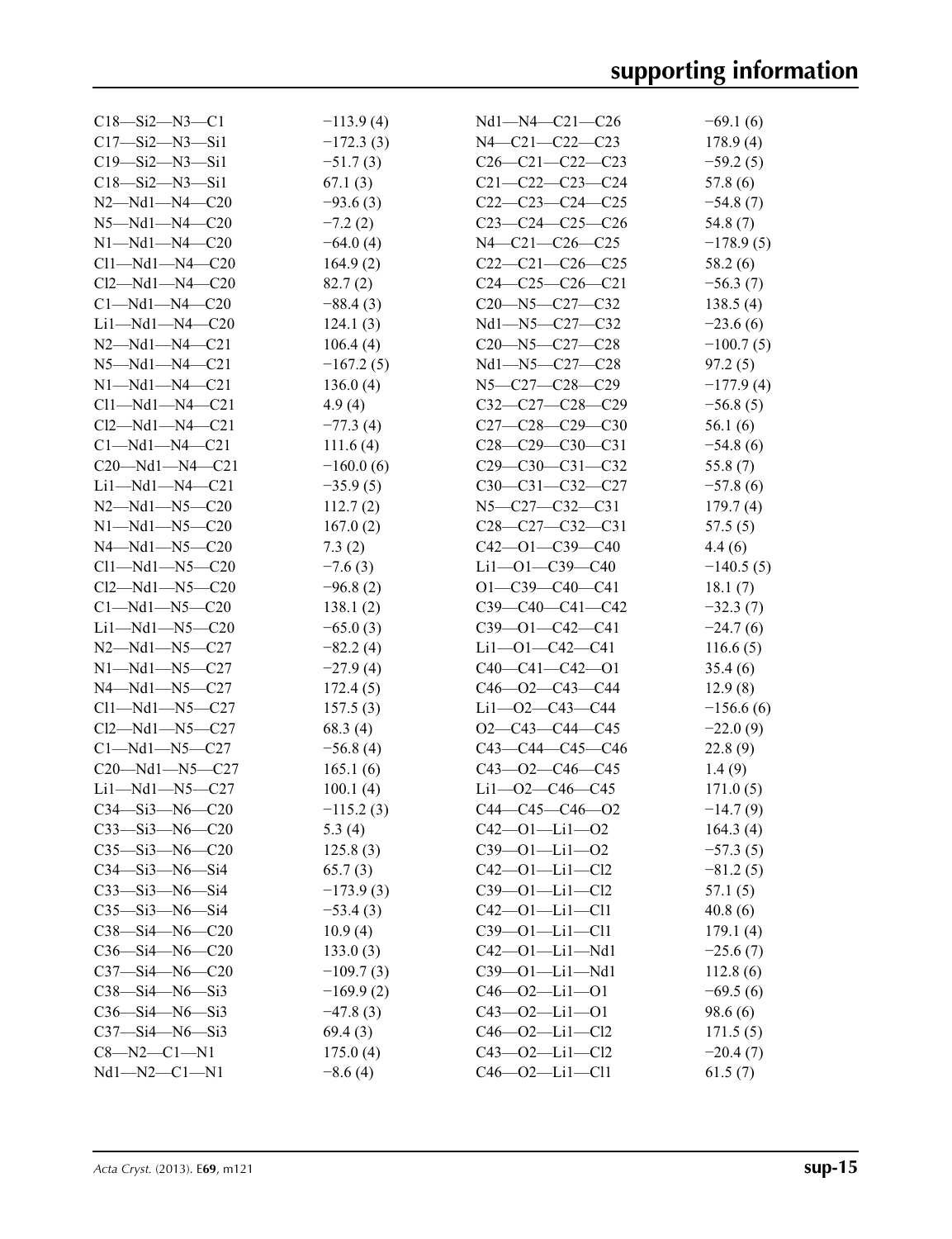| $C18 - Si2 - N3 - C1$                          | $-113.9(4)$               | $Nd1 - N4 - C21 - C26$                      | $-69.1(6)$  |
|------------------------------------------------|---------------------------|---------------------------------------------|-------------|
| $C17 - Si2 - N3 - Si1$                         | $-172.3(3)$               | $N4 - C21 - C22 - C23$                      | 178.9(4)    |
| $C19 - Si2 - N3 - Si1$                         | $-51.7(3)$                | $C26-C21-C22-C23$                           | $-59.2(5)$  |
| $C18 - Si2 - N3 - Si1$                         | 67.1(3)                   | $C21 - C22 - C23 - C24$                     | 57.8(6)     |
| $N2 - Nd1 - N4 - C20$                          | $-93.6(3)$                | $C22-C23-C24-C25$                           | $-54.8(7)$  |
| $N5 - Nd1 - N4 - C20$                          | $-7.2(2)$                 | $C23-C24-C25-C26$                           | 54.8 (7)    |
| $N1 - Nd1 - N4 - C20$                          | $-64.0(4)$                | $N4-C21-C26-C25$                            | $-178.9(5)$ |
| $Cl1-Md1-N4-C20$                               | 164.9(2)                  | $C22-C21-C26-C25$                           | 58.2 (6)    |
| $Cl2 - Nd1 - N4 - C20$                         | 82.7(2)                   | $C24-C25-C26-C21$                           | $-56.3(7)$  |
| $Cl-Md1-M4-C20$                                | $-88.4(3)$                | $C20 - N5 - C27 - C32$                      | 138.5(4)    |
| $Li1-Md1-N4-C20$                               | 124.1(3)                  | Nd1-N5-C27-C32                              | $-23.6(6)$  |
| $N2 - Nd1 - N4 - C21$                          | 106.4(4)                  | $C20 - N5 - C27 - C28$                      | $-100.7(5)$ |
| $N5 - Nd1 - N4 - C21$                          | $-167.2(5)$               | Nd1-N5-C27-C28                              | 97.2(5)     |
| $N1 - Nd1 - N4 - C21$                          | 136.0(4)                  | N5-C27-C28-C29                              | $-177.9(4)$ |
| $Cl1-Md1-N4-C21$                               | 4.9(4)                    | $C32-C27-C28-C29$                           | $-56.8(5)$  |
| $Cl2-Md1-M4-C21$                               | $-77.3(4)$                | $C27-C28-C29-C30$                           | 56.1(6)     |
| $Cl-Md1-M4-C21$                                | 111.6(4)                  | $C28-C29-C30-C31$                           |             |
|                                                |                           | $C29-C30-C31-C32$                           | $-54.8(6)$  |
| $C20$ —Nd1—N4—C21                              | $-160.0(6)$<br>$-35.9(5)$ |                                             | 55.8 $(7)$  |
| $Li1-Md1-N4-C21$                               |                           | $C30-C31-C32-C27$                           | $-57.8(6)$  |
| $N2 - Nd1 - N5 - C20$<br>$N1 - Nd1 - N5 - C20$ | 112.7(2)                  | $N5 - C27 - C32 - C31$<br>$C28-C27-C32-C31$ | 179.7(4)    |
| $N4 - Nd1 - N5 - C20$                          | 167.0(2)                  |                                             | 57.5(5)     |
|                                                | 7.3(2)                    | $C42 - 01 - C39 - C40$                      | 4.4(6)      |
| $Cl1-Md1-N5-C20$                               | $-7.6(3)$                 | $Li1 - O1 - C39 - C40$                      | $-140.5(5)$ |
| $Cl2-Md1-N5-C20$                               | $-96.8(2)$                | $O1 - C39 - C40 - C41$                      | 18.1(7)     |
| $Cl-Md1-N5-C20$                                | 138.1(2)                  | $C39-C40-C41-C42$                           | $-32.3(7)$  |
| $Li1-Md1-N5-C20$                               | $-65.0(3)$                | $C39 - 01 - C42 - C41$                      | $-24.7(6)$  |
| $N2 - Nd1 - N5 - C27$                          | $-82.2(4)$                | $Li1 - O1 - C42 - C41$                      | 116.6(5)    |
| $N1 - Nd1 - N5 - C27$                          | $-27.9(4)$                | $C40-C41-C42-01$                            | 35.4(6)     |
| $N4 - Nd1 - N5 - C27$                          | 172.4(5)                  | $C46 - 02 - C43 - C44$                      | 12.9(8)     |
| $Cl1-Md1-N5-C27$                               | 157.5(3)                  | Li1—O2—C43—C44                              | $-156.6(6)$ |
| $Cl2-Md1-N5-C27$                               | 68.3(4)                   | $O2-C43-C44-C45$                            | $-22.0(9)$  |
| $Cl-Md1-N5-C27$                                | $-56.8(4)$                | $C43-C44-C45-C46$                           | 22.8(9)     |
| $C20 - Nd1 - N5 - C27$                         | 165.1(6)                  | $C43 - O2 - C46 - C45$                      | 1.4(9)      |
| $Li1-Md1-N5-C27$                               | 100.1(4)                  | $Li1 - O2 - C46 - C45$                      | 171.0(5)    |
| $C34 - Si3 - N6 - C20$                         | $-115.2(3)$               | $C44-C45-C46-02$                            | $-14.7(9)$  |
| $C33 - Si3 - N6 - C20$                         | 5.3 $(4)$                 | $C42 - 01 - Li1 - 02$                       | 164.3(4)    |
| $C35 - Si3 - N6 - C20$                         | 125.8(3)                  | $C39 - 01 - Li1 - 02$                       | $-57.3(5)$  |
| $C34 - Si3 - N6 - Si4$                         | 65.7(3)                   | $C42 - 01 - Li1 - C12$                      | $-81.2(5)$  |
| $C33 - Si3 - N6 - Si4$                         | $-173.9(3)$               | $C39 - 01 - Li1 - C12$                      | 57.1(5)     |
| $C35 - Si3 - N6 - Si4$                         | $-53.4(3)$                | $C42 - 01 - Li1 - Cl1$                      | 40.8(6)     |
| $C38 - Si4 - N6 - C20$                         | 10.9(4)                   | $C39 - 01 - Li1 - Cl1$                      | 179.1(4)    |
| $C36 - Si4 - N6 - C20$                         | 133.0(3)                  | $C42 - 01 - Li1 - Nd1$                      | $-25.6(7)$  |
| $C37 - Si4 - N6 - C20$                         | $-109.7(3)$               | $C39 - 01 - Li1 - Nd1$                      | 112.8(6)    |
| $C38 - Si4 - N6 - Si3$                         | $-169.9(2)$               | $C46 - 02 - Li1 - 01$                       | $-69.5(6)$  |
| $C36 - Si4 - N6 - Si3$                         | $-47.8(3)$                | $C43 - 02 - Li1 - 01$                       | 98.6(6)     |
| $C37 - Si4 - N6 - Si3$                         | 69.4 (3)                  | $C46 - 02 - Li1 - Cl2$                      | 171.5(5)    |
| $C8 - N2 - C1 - N1$                            | 175.0(4)                  | $C43 - 02 - Li1 - Cl2$                      | $-20.4(7)$  |
| $Nd1 - N2 - C1 - N1$                           | $-8.6(4)$                 | $C46 - 02 - Li1 - Cl1$                      | 61.5(7)     |